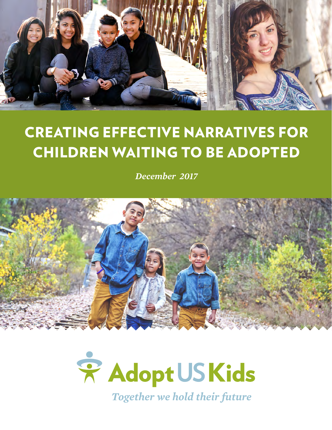

## CREATING EFFECTIVE NARRATIVES FOR CHILDREN WAITING TO BE ADOPTED

*December 2017*



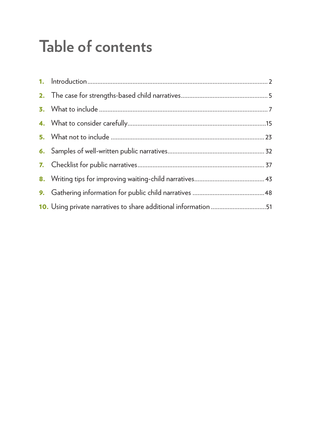## **Table of contents**

| 10. Using private narratives to share additional information 51 |  |
|-----------------------------------------------------------------|--|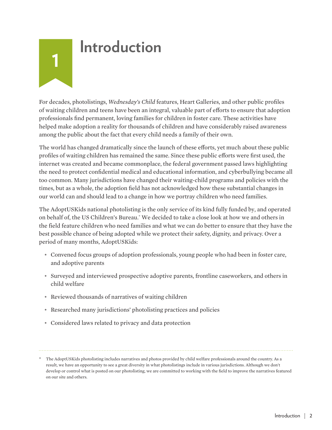## <span id="page-2-0"></span>**1 Introduction**

For decades, photolistings, *Wednesday's Child* features, Heart Galleries, and other public profiles of waiting children and teens have been an integral, valuable part of efforts to ensure that adoption professionals find permanent, loving families for children in foster care. These activities have helped make adoption a reality for thousands of children and have considerably raised awareness among the public about the fact that every child needs a family of their own.

The world has changed dramatically since the launch of these efforts, yet much about these public profiles of waiting children has remained the same. Since these public efforts were first used, the internet was created and became commonplace, the federal government passed laws highlighting the need to protect confidential medical and educational information, and cyberbullying became all too common. Many jurisdictions have changed their waiting-child programs and policies with the times, but as a whole, the adoption field has not acknowledged how these substantial changes in our world can and should lead to a change in how we portray children who need families.

The AdoptUSKids national photolisting is the only service of its kind fully funded by, and operated on behalf of, the US Children's Bureau.\* We decided to take a close look at how we and others in the field feature children who need families and what we can do better to ensure that they have the best possible chance of being adopted while we protect their safety, dignity, and privacy. Over a period of many months, AdoptUSKids:

- Convened focus groups of adoption professionals, young people who had been in foster care, and adoptive parents
- Surveyed and interviewed prospective adoptive parents, frontline caseworkers, and others in child welfare
- Reviewed thousands of narratives of waiting children
- Researched many jurisdictions' photolisting practices and policies
- Considered laws related to privacy and data protection

<sup>\*</sup> The AdoptUSKids photolisting includes narratives and photos provided by child welfare professionals around the country. As a result, we have an opportunity to see a great diversity in what photolistings include in various jurisdictions. Although we don't develop or control what is posted on our photolisting, we are committed to working with the field to improve the narratives featured on our site and others.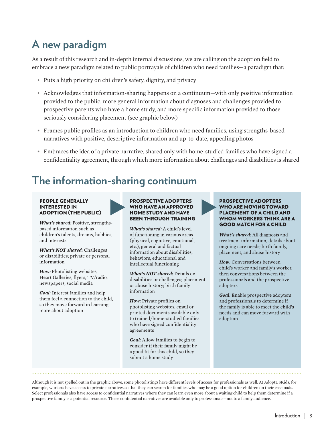## **A new paradigm**

As a result of this research and in-depth internal discussions, we are calling on the adoption field to embrace a new paradigm related to public portrayals of children who need families—a paradigm that:

- Puts a high priority on children's safety, dignity, and privacy
- Acknowledges that information-sharing happens on a continuum—with only positive information provided to the public, more general information about diagnoses and challenges provided to prospective parents who have a home study, and more specific information provided to those seriously considering placement (see graphic below)
- Frames public profiles as an introduction to children who need families, using strengths-based narratives with positive, descriptive information and up-to-date, appealing photos
- Embraces the idea of a private narrative, shared only with home-studied families who have signed a confidentiality agreement, through which more information about challenges and disabilities is shared

#### **The information-sharing continuum**

#### **PEOPLE GENERALLY INTERESTED IN ADOPTION (THE PUBLIC)**

What's shared: Positive, strengthsbased information such as children's talents, dreams, hobbies, and interests

What's NOT shared: Challenges or disabilities; private or personal information

How: Photolisting websites, Heart Galleries, flyers, TV/radio, newspapers, social media

Goal: Interest families and help them feel a connection to the child, so they move forward in learning more about adoption

#### **PROSPECTIVE ADOPTERS WHO HAVE AN APPROVED HOME STUDY AND HAVE BEEN THROUGH TRAINING**

What's shared: A child's level of functioning in various areas (physical, cognitive, emotional, etc.), general and factual information about disabilities, behaviors, educational and intellectual functioning

**What's NOT shared:** Details on disabilities or challenges; placement or abuse history; birth family information

How: Private profiles on photolisting websites, email or printed documents available only to trained/home-studied families who have signed confidentiality agreements

Goal: Allow families to begin to consider if their family might be a good fit for this child, so they submit a home study

#### **PROSPECTIVE ADOPTERS WHO ARE MOVING TOWARD PLACEMENT OF A CHILD AND WHOM WORKERS THINK ARE A GOOD MATCH FOR A CHILD**

What's shared: All diagnosis and treatment information, details about ongoing care needs; birth family, placement, and abuse history

How: Conversations between child's worker and family's worker, then conversations between the professionals and the prospective adopters

Goal: Enable prospective adopters and professionals to determine if the family is able to meet the child's needs and can move forward with adoption

Although it is not spelled out in the graphic above, some photolistings have different levels of access for professionals as well. At AdoptUSKids, for example, workers have access to private narratives so that they can search for families who may be a good option for children on their caseloads. Select professionals also have access to confidential narratives where they can learn even more about a waiting child to help them determine if a prospective family is a potential resource. These confidential narratives are available only to professionals—not to a family audience.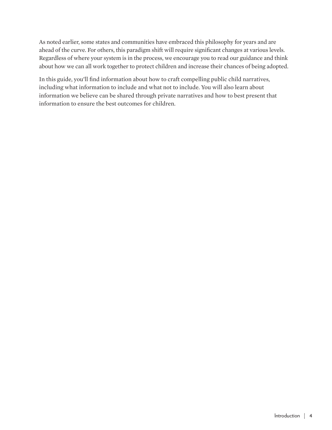As noted earlier, some states and communities have embraced this philosophy for years and are ahead of the curve. For others, this paradigm shift will require significant changes at various levels. Regardless of where your system is in the process, we encourage you to read our guidance and think about how we can all work together to protect children and increase their chances of being adopted.

In this guide, you'll find information about how to craft compelling public child narratives, including what information to include and what not to include. You will also learn about information we believe can be shared through private narratives and how to best present that information to ensure the best outcomes for children.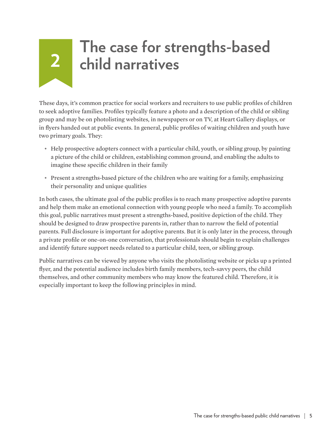# <span id="page-5-0"></span>**<sup>2</sup> The case for strengths-based child narratives**

These days, it's common practice for social workers and recruiters to use public profiles of children to seek adoptive families. Profiles typically feature a photo and a description of the child or sibling group and may be on photolisting websites, in newspapers or on TV, at Heart Gallery displays, or in flyers handed out at public events. In general, public profiles of waiting children and youth have two primary goals. They:

- Help prospective adopters connect with a particular child, youth, or sibling group, by painting a picture of the child or children, establishing common ground, and enabling the adults to imagine these specific children in their family
- Present a strengths-based picture of the children who are waiting for a family, emphasizing their personality and unique qualities

In both cases, the ultimate goal of the public profiles is to reach many prospective adoptive parents and help them make an emotional connection with young people who need a family. To accomplish this goal, public narratives must present a strengths-based, positive depiction of the child. They should be designed to draw prospective parents in, rather than to narrow the field of potential parents. Full disclosure is important for adoptive parents. But it is only later in the process, through a private profile or one-on-one conversation, that professionals should begin to explain challenges and identify future support needs related to a particular child, teen, or sibling group.

Public narratives can be viewed by anyone who visits the photolisting website or picks up a printed flyer, and the potential audience includes birth family members, tech-savvy peers, the child themselves, and other community members who may know the featured child. Therefore, it is especially important to keep the following principles in mind.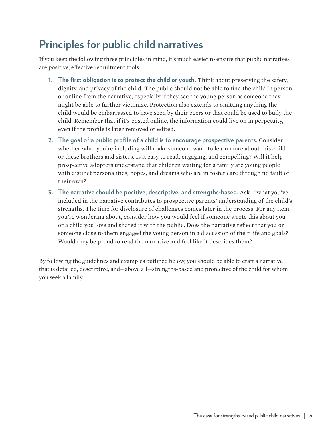## **Principles for public child narratives**

If you keep the following three principles in mind, it's much easier to ensure that public narratives are positive, effective recruitment tools:

- **1. The first obligation is to protect the child or youth.** Think about preserving the safety, dignity, and privacy of the child. The public should not be able to find the child in person or online from the narrative, especially if they see the young person as someone they might be able to further victimize. Protection also extends to omitting anything the child would be embarrassed to have seen by their peers or that could be used to bully the child. Remember that if it's posted online, the information could live on in perpetuity, even if the profile is later removed or edited.
- **2. The goal of a public profile of a child is to encourage prospective parents.** Consider whether what you're including will make someone want to learn more about this child or these brothers and sisters. Is it easy to read, engaging, and compelling? Will it help prospective adopters understand that children waiting for a family are young people with distinct personalities, hopes, and dreams who are in foster care through no fault of their own?
- **3. The narrative should be positive, descriptive, and strengths-based.** Ask if what you've included in the narrative contributes to prospective parents' understanding of the child's strengths. The time for disclosure of challenges comes later in the process. For any item you're wondering about, consider how you would feel if someone wrote this about you or a child you love and shared it with the public. Does the narrative reflect that you or someone close to them engaged the young person in a discussion of their life and goals? Would they be proud to read the narrative and feel like it describes them?

By following the guidelines and examples outlined below, you should be able to craft a narrative that is detailed, descriptive, and—above all—strengths-based and protective of the child for whom you seek a family.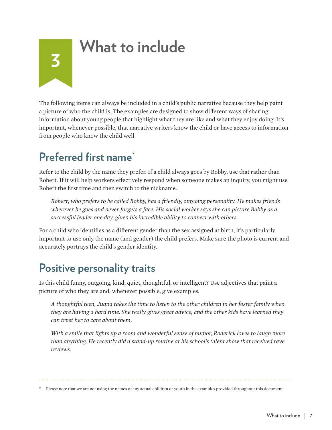## **What to include**

The following items can always be included in a child's public narrative because they help paint a picture of who the child is. The examples are designed to show different ways of sharing information about young people that highlight what they are like and what they enjoy doing. It's important, whenever possible, that narrative writers know the child or have access to information from people who know the child well.

#### **Preferred first name\***

<span id="page-7-0"></span>**3**

Refer to the child by the name they prefer. If a child always goes by Bobby, use that rather than Robert. If it will help workers effectively respond when someone makes an inquiry, you might use Robert the first time and then switch to the nickname.

*Robert, who prefers to be called Bobby, has a friendly, outgoing personality. He makes friends wherever he goes and never forgets a face. His social worker says she can picture Bobby as a successful leader one day, given his incredible ability to connect with others.* 

For a child who identifies as a different gender than the sex assigned at birth, it's particularly important to use only the name (and gender) the child prefers. Make sure the photo is current and accurately portrays the child's gender identity.

#### **Positive personality traits**

Is this child funny, outgoing, kind, quiet, thoughtful, or intelligent? Use adjectives that paint a picture of who they are and, whenever possible, give examples.

*A thoughtful teen, Juana takes the time to listen to the other children in her foster family when they are having a hard time. She really gives great advice, and the other kids have learned they can trust her to care about them.*

*With a smile that lights up a room and wonderful sense of humor, Roderick loves to laugh more than anything. He recently did a stand-up routine at his school's talent show that received rave reviews.* 

\* Please note that we are not using the names of any actual children or youth in the examples provided throughout this document.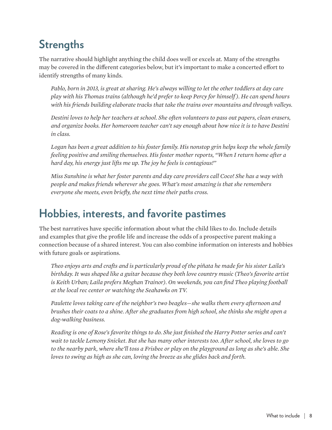## **Strengths**

The narrative should highlight anything the child does well or excels at. Many of the strengths may be covered in the different categories below, but it's important to make a concerted effort to identify strengths of many kinds.

*Pablo, born in 2013, is great at sharing. He's always willing to let the other toddlers at day care play with his Thomas trains (although he'd prefer to keep Percy for himself ). He can spend hours with his friends building elaborate tracks that take the trains over mountains and through valleys.*

*Destini loves to help her teachers at school. She often volunteers to pass out papers, clean erasers, and organize books. Her homeroom teacher can't say enough about how nice it is to have Destini in class.*

*Logan has been a great addition to his foster family. His nonstop grin helps keep the whole family feeling positive and smiling themselves. His foster mother reports, "When I return home after a hard day, his energy just lifts me up. The joy he feels is contagious!"*

*Miss Sunshine is what her foster parents and day care providers call Coco! She has a way with people and makes friends wherever she goes. What's most amazing is that she remembers everyone she meets, even briefly, the next time their paths cross.* 

#### **Hobbies, interests, and favorite pastimes**

The best narratives have specific information about what the child likes to do. Include details and examples that give the profile life and increase the odds of a prospective parent making a connection because of a shared interest. You can also combine information on interests and hobbies with future goals or aspirations.

*Theo enjoys arts and crafts and is particularly proud of the piñata he made for his sister Laila's birthday. It was shaped like a guitar because they both love country music (Theo's favorite artist is Keith Urban; Laila prefers Meghan Trainor). On weekends, you can find Theo playing football at the local rec center or watching the Seahawks on TV.*

*Paulette loves taking care of the neighbor's two beagles—she walks them every afternoon and brushes their coats to a shine. After she graduates from high school, she thinks she might open a dog-walking business.*

*Reading is one of Rose's favorite things to do. She just finished the Harry Potter series and can't wait to tackle Lemony Snicket. But she has many other interests too. After school, she loves to go to the nearby park, where she'll toss a Frisbee or play on the playground as long as she's able. She loves to swing as high as she can, loving the breeze as she glides back and forth.*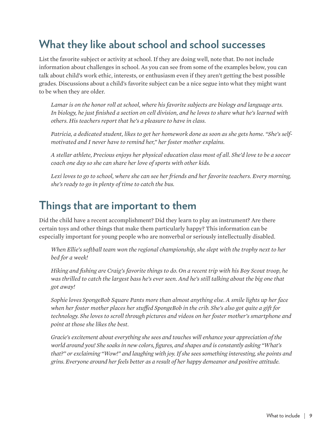### **What they like about school and school successes**

List the favorite subject or activity at school. If they are doing well, note that. Do not include information about challenges in school. As you can see from some of the examples below, you can talk about child's work ethic, interests, or enthusiasm even if they aren't getting the best possible grades. Discussions about a child's favorite subject can be a nice segue into what they might want to be when they are older.

*Lamar is on the honor roll at school, where his favorite subjects are biology and language arts. In biology, he just finished a section on cell division, and he loves to share what he's learned with others. His teachers report that he's a pleasure to have in class.*

*Patricia, a dedicated student, likes to get her homework done as soon as she gets home. "She's selfmotivated and I never have to remind her," her foster mother explains.* 

*A stellar athlete, Precious enjoys her physical education class most of all. She'd love to be a soccer coach one day so she can share her love of sports with other kids.*

*Lexi loves to go to school, where she can see her friends and her favorite teachers. Every morning, she's ready to go in plenty of time to catch the bus.*

#### **Things that are important to them**

Did the child have a recent accomplishment? Did they learn to play an instrument? Are there certain toys and other things that make them particularly happy? This information can be especially important for young people who are nonverbal or seriously intellectually disabled.

*When Ellie's softball team won the regional championship, she slept with the trophy next to her bed for a week!*

*Hiking and fishing are Craig's favorite things to do. On a recent trip with his Boy Scout troop, he was thrilled to catch the largest bass he's ever seen. And he's still talking about the big one that got away!*

*Sophie loves SpongeBob Square Pants more than almost anything else. A smile lights up her face when her foster mother places her stuffed SpongeBob in the crib. She's also got quite a gift for technology. She loves to scroll through pictures and videos on her foster mother's smartphone and point at those she likes the best.* 

*Gracie's excitement about everything she sees and touches will enhance your appreciation of the world around you! She soaks in new colors, figures, and shapes and is constantly asking "What's that?" or exclaiming "Wow!" and laughing with joy. If she sees something interesting, she points and grins. Everyone around her feels better as a result of her happy demeanor and positive attitude.*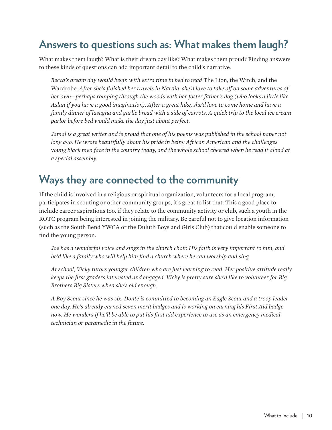#### **Answers to questions such as: What makes them laugh?**

What makes them laugh? What is their dream day like? What makes them proud? Finding answers to these kinds of questions can add important detail to the child's narrative.

*Becca's dream day would begin with extra time in bed to read* The Lion, the Witch, and the Wardrobe*. After she's finished her travels in Narnia, she'd love to take off on some adventures of her own—perhaps romping through the woods with her foster father's dog (who looks a little like Aslan if you have a good imagination). After a great hike, she'd love to come home and have a family dinner of lasagna and garlic bread with a side of carrots. A quick trip to the local ice cream parlor before bed would make the day just about perfect.* 

*Jamal is a great writer and is proud that one of his poems was published in the school paper not long ago. He wrote beautifully about his pride in being African American and the challenges young black men face in the country today, and the whole school cheered when he read it aloud at a special assembly.*

#### **Ways they are connected to the community**

If the child is involved in a religious or spiritual organization, volunteers for a local program, participates in scouting or other community groups, it's great to list that. This a good place to include career aspirations too, if they relate to the community activity or club, such a youth in the ROTC program being interested in joining the military. Be careful not to give location information (such as the South Bend YWCA or the Duluth Boys and Girls Club) that could enable someone to find the young person.

*Joe has a wonderful voice and sings in the church choir. His faith is very important to him, and he'd like a family who will help him find a church where he can worship and sing.*

*At school, Vicky tutors younger children who are just learning to read. Her positive attitude really keeps the first graders interested and engaged. Vicky is pretty sure she'd like to volunteer for Big Brothers Big Sisters when she's old enough.*

*A Boy Scout since he was six, Donte is committed to becoming an Eagle Scout and a troop leader one day. He's already earned seven merit badges and is working on earning his First Aid badge now. He wonders if he'll be able to put his first aid experience to use as an emergency medical technician or paramedic in the future.*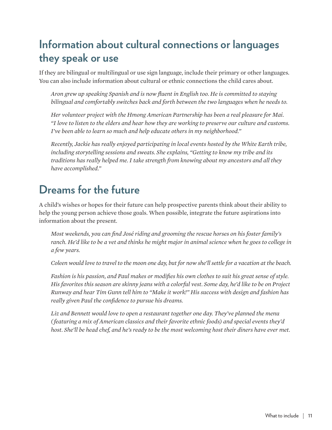#### **Information about cultural connections or languages they speak or use**

If they are bilingual or multilingual or use sign language, include their primary or other languages. You can also include information about cultural or ethnic connections the child cares about.

*Aron grew up speaking Spanish and is now fluent in English too. He is committed to staying bilingual and comfortably switches back and forth between the two languages when he needs to.* 

*Her volunteer project with the Hmong American Partnership has been a real pleasure for Mai. "I love to listen to the elders and hear how they are working to preserve our culture and customs. I've been able to learn so much and help educate others in my neighborhood."*

*Recently, Jackie has really enjoyed participating in local events hosted by the White Earth tribe, including storytelling sessions and sweats. She explains, "Getting to know my tribe and its traditions has really helped me. I take strength from knowing about my ancestors and all they have accomplished."*

#### **Dreams for the future**

A child's wishes or hopes for their future can help prospective parents think about their ability to help the young person achieve those goals. When possible, integrate the future aspirations into information about the present.

*Most weekends, you can find José riding and grooming the rescue horses on his foster family's ranch. He'd like to be a vet and thinks he might major in animal science when he goes to college in a few years.*

*Coleen would love to travel to the moon one day, but for now she'll settle for a vacation at the beach.*

*Fashion is his passion, and Paul makes or modifies his own clothes to suit his great sense of style. His favorites this season are skinny jeans with a colorful vest. Some day, he'd like to be on Project Runway and hear Tim Gunn tell him to "Make it work!" His success with design and fashion has really given Paul the confidence to pursue his dreams.*

*Liz and Bennett would love to open a restaurant together one day. They've planned the menu ( featuring a mix of American classics and their favorite ethnic foods) and special events they'd host. She'll be head chef, and he's ready to be the most welcoming host their diners have ever met.*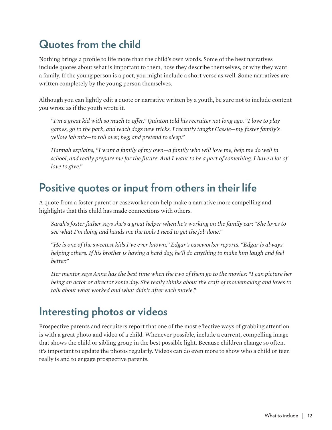## **Quotes from the child**

Nothing brings a profile to life more than the child's own words. Some of the best narratives include quotes about what is important to them, how they describe themselves, or why they want a family. If the young person is a poet, you might include a short verse as well. Some narratives are written completely by the young person themselves.

Although you can lightly edit a quote or narrative written by a youth, be sure not to include content you wrote as if the youth wrote it.

*"I'm a great kid with so much to offer," Quinton told his recruiter not long ago. "I love to play games, go to the park, and teach dogs new tricks. I recently taught Cassie—my foster family's yellow lab mix—to roll over, beg, and pretend to sleep."*

*Hannah explains, "I want a family of my own—a family who will love me, help me do well in school, and really prepare me for the future. And I want to be a part of something. I have a lot of love to give."*

#### **Positive quotes or input from others in their life**

A quote from a foster parent or caseworker can help make a narrative more compelling and highlights that this child has made connections with others.

*Sarah's foster father says she's a great helper when he's working on the family car: "She loves to see what I'm doing and hands me the tools I need to get the job done."*

*"He is one of the sweetest kids I've ever known," Edgar's caseworker reports. "Edgar is always helping others. If his brother is having a hard day, he'll do anything to make him laugh and feel better."*

*Her mentor says Anna has the best time when the two of them go to the movies: "I can picture her being an actor or director some day. She really thinks about the craft of moviemaking and loves to talk about what worked and what didn't after each movie."*

#### **Interesting photos or videos**

Prospective parents and recruiters report that one of the most effective ways of grabbing attention is with a great photo and video of a child. Whenever possible, include a current, compelling image that shows the child or sibling group in the best possible light. Because children change so often, it's important to update the photos regularly. Videos can do even more to show who a child or teen really is and to engage prospective parents.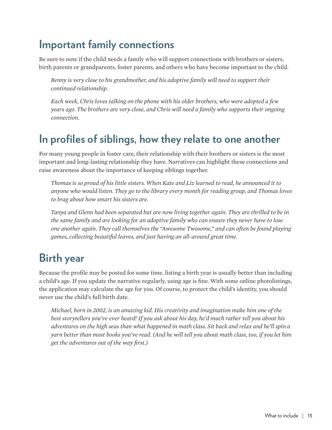### **Important family connections**

Be sure to note if the child needs a family who will support connections with brothers or sisters, birth parents or grandparents, foster parents, and others who have become important to the child.

*Benny is very close to his grandmother, and his adoptive family will need to support their continued relationship.* 

*Each week, Chris loves talking on the phone with his older brothers, who were adopted a few years ago. The brothers are very close, and Chris will need a family who supports their ongoing connection.* 

#### **In profiles of siblings, how they relate to one another**

For many young people in foster care, their relationship with their brothers or sisters is the most important and long-lasting relationship they have. Narratives can highlight these connections and raise awareness about the importance of keeping siblings together.

*Thomas is so proud of his little sisters. When Kate and Liz learned to read, he announced it to anyone who would listen. They go to the library every month for reading group, and Thomas loves to brag about how smart his sisters are.* 

*Tanya and Glenn had been separated but are now living together again. They are thrilled to be in the same family and are looking for an adoptive family who can ensure they never have to lose one another again. They call themselves the "Awesome Twosome," and can often be found playing games, collecting beautiful leaves, and just having an all-around great time.*

#### **Birth year**

Because the profile may be posted for some time, listing a birth year is usually better than including a child's age. If you update the narrative regularly, using age is fine. With some online photolistings, the application may calculate the age for you. Of course, to protect the child's identity, you should never use the child's full birth date.

*Michael, born in 2002, is an amazing kid. His creativity and imagination make him one of the best storytellers you've ever heard! If you ask about his day, he'd much rather tell you about his adventures on the high seas than what happened in math class. Sit back and relax and he'll spin a yarn better than most books you've read. (And he will tell you about math class, too, if you let him get the adventures out of the way first.)*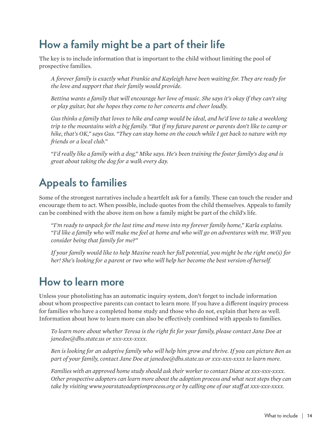## **How a family might be a part of their life**

The key is to include information that is important to the child without limiting the pool of prospective families.

*A forever family is exactly what Frankie and Kayleigh have been waiting for. They are ready for the love and support that their family would provide.*

*Bettina wants a family that will encourage her love of music. She says it's okay if they can't sing or play guitar, but she hopes they come to her concerts and cheer loudly.* 

*Gus thinks a family that loves to hike and camp would be ideal, and he'd love to take a weeklong trip to the mountains with a big family. "But if my future parent or parents don't like to camp or hike, that's OK," says Gus. "They can stay home on the couch while I get back to nature with my friends or a local club."*

*"I'd really like a family with a dog," Mike says. He's been training the foster family's dog and is great about taking the dog for a walk every day.*

### **Appeals to families**

Some of the strongest narratives include a heartfelt ask for a family. These can touch the reader and encourage them to act. When possible, include quotes from the child themselves. Appeals to family can be combined with the above item on how a family might be part of the child's life.

*"I'm ready to unpack for the last time and move into my forever family home," Karla explains. "I'd like a family who will make me feel at home and who will go on adventures with me. Will you consider being that family for me?"*

*If your family would like to help Maxine reach her full potential, you might be the right one(s) for her! She's looking for a parent or two who will help her become the best version of herself.*

#### **How to learn more**

Unless your photolisting has an automatic inquiry system, don't forget to include information about whom prospective parents can contact to learn more. If you have a different inquiry process for families who have a completed home study and those who do not, explain that here as well. Information about how to learn more can also be effectively combined with appeals to families.

*To learn more about whether Teresa is the right fit for your family, please contact Jane Doe at janedoe@dhs.state.us or xxx-xxx-xxxx.*

*Ben is looking for an adoptive family who will help him grow and thrive. If you can picture Ben as part of your family, contact Jane Doe at janedoe@dhs.state.us or xxx-xxx-xxxx to learn more.*

*Families with an approved home study should ask their worker to contact Diane at xxx-xxx-xxxx. Other prospective adopters can learn more about the adoption process and what next steps they can take by visiting www.yourstateadoptionprocess.org or by calling one of our staff at xxx-xxx-xxxx.*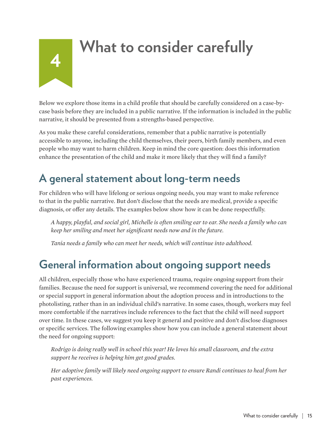## <span id="page-15-0"></span>**<sup>4</sup> What to consider carefully**

Below we explore those items in a child profile that should be carefully considered on a case-bycase basis before they are included in a public narrative. If the information is included in the public narrative, it should be presented from a strengths-based perspective.

As you make these careful considerations, remember that a public narrative is potentially accessible to anyone, including the child themselves, their peers, birth family members, and even people who may want to harm children. Keep in mind the core question: does this information enhance the presentation of the child and make it more likely that they will find a family?

#### **A general statement about long-term needs**

For children who will have lifelong or serious ongoing needs, you may want to make reference to that in the public narrative. But don't disclose that the needs are medical, provide a specific diagnosis, or offer any details. The examples below show how it can be done respectfully.

*A happy, playful, and social girl, Michelle is often smiling ear to ear. She needs a family who can keep her smiling and meet her significant needs now and in the future.* 

*Tania needs a family who can meet her needs, which will continue into adulthood.* 

#### **General information about ongoing support needs**

All children, especially those who have experienced trauma, require ongoing support from their families. Because the need for support is universal, we recommend covering the need for additional or special support in general information about the adoption process and in introductions to the photolisting, rather than in an individual child's narrative. In some cases, though, workers may feel more comfortable if the narratives include references to the fact that the child will need support over time. In these cases, we suggest you keep it general and positive and don't disclose diagnoses or specific services. The following examples show how you can include a general statement about the need for ongoing support:

*Rodrigo is doing really well in school this year! He loves his small classroom, and the extra support he receives is helping him get good grades.* 

*Her adoptive family will likely need ongoing support to ensure Randi continues to heal from her past experiences.*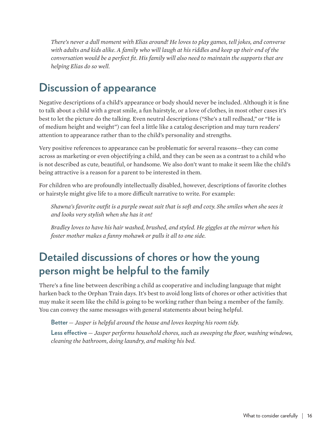*There's never a dull moment with Elias around! He loves to play games, tell jokes, and converse with adults and kids alike. A family who will laugh at his riddles and keep up their end of the conversation would be a perfect fit. His family will also need to maintain the supports that are helping Elias do so well.* 

## **Discussion of appearance**

Negative descriptions of a child's appearance or body should never be included. Although it is fine to talk about a child with a great smile, a fun hairstyle, or a love of clothes, in most other cases it's best to let the picture do the talking. Even neutral descriptions ("She's a tall redhead," or "He is of medium height and weight") can feel a little like a catalog description and may turn readers' attention to appearance rather than to the child's personality and strengths.

Very positive references to appearance can be problematic for several reasons—they can come across as marketing or even objectifying a child, and they can be seen as a contrast to a child who is not described as cute, beautiful, or handsome. We also don't want to make it seem like the child's being attractive is a reason for a parent to be interested in them.

For children who are profoundly intellectually disabled, however, descriptions of favorite clothes or hairstyle might give life to a more difficult narrative to write. For example:

*Shawna's favorite outfit is a purple sweat suit that is soft and cozy. She smiles when she sees it and looks very stylish when she has it on!* 

*Bradley loves to have his hair washed, brushed, and styled. He giggles at the mirror when his foster mother makes a funny mohawk or pulls it all to one side.*

#### **Detailed discussions of chores or how the young person might be helpful to the family**

There's a fine line between describing a child as cooperative and including language that might harken back to the Orphan Train days. It's best to avoid long lists of chores or other activities that may make it seem like the child is going to be working rather than being a member of the family. You can convey the same messages with general statements about being helpful.

**Better** *— Jasper is helpful around the house and loves keeping his room tidy.*  **Less effective** *— Jasper performs household chores, such as sweeping the floor, washing windows, cleaning the bathroom, doing laundry, and making his bed.*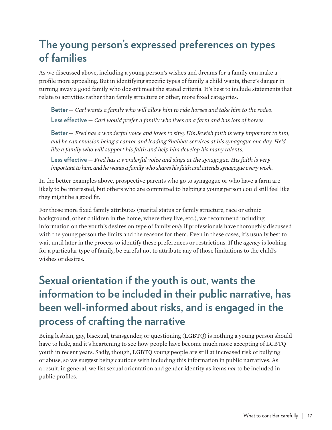#### **The young person's expressed preferences on types of families**

As we discussed above, including a young person's wishes and dreams for a family can make a profile more appealing. But in identifying specific types of family a child wants, there's danger in turning away a good family who doesn't meet the stated criteria. It's best to include statements that relate to activities rather than family structure or other, more fixed categories.

**Better** *— Carl wants a family who will allow him to ride horses and take him to the rodeo.* **Less effective** *— Carl would prefer a family who lives on a farm and has lots of horses.*

**Better** *— Fred has a wonderful voice and loves to sing. His Jewish faith is very important to him, and he can envision being a cantor and leading Shabbat services at his synagogue one day. He'd like a family who will support his faith and help him develop his many talents.*

**Less effective** *— Fred has a wonderful voice and sings at the synagogue. His faith is very important to him, and he wants a family who shares his faith and attends synagogue every week.*

In the better examples above, prospective parents who go to synagogue or who have a farm are likely to be interested, but others who are committed to helping a young person could still feel like they might be a good fit.

For those more fixed family attributes (marital status or family structure, race or ethnic background, other children in the home, where they live, etc.), we recommend including information on the youth's desires on type of family *only* if professionals have thoroughly discussed with the young person the limits and the reasons for them. Even in these cases, it's usually best to wait until later in the process to identify these preferences or restrictions. If the *agency* is looking for a particular type of family, be careful not to attribute any of those limitations to the child's wishes or desires.

#### **Sexual orientation if the youth is out, wants the information to be included in their public narrative, has been well-informed about risks, and is engaged in the process of crafting the narrative**

Being lesbian, gay, bisexual, transgender, or questioning (LGBTQ) is nothing a young person should have to hide, and it's heartening to see how people have become much more accepting of LGBTQ youth in recent years. Sadly, though, LGBTQ young people are still at increased risk of bullying or abuse, so we suggest being cautious with including this information in public narratives. As a result, in general, we list sexual orientation and gender identity as items *not* to be included in public profiles.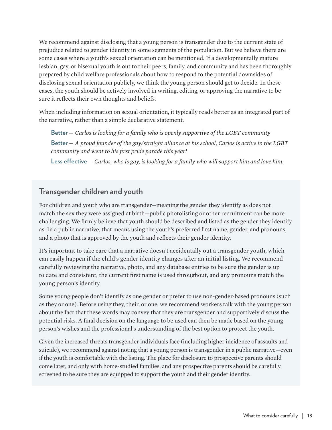We recommend against disclosing that a young person is transgender due to the current state of prejudice related to gender identity in some segments of the population. But we believe there are some cases where a youth's sexual orientation can be mentioned. If a developmentally mature lesbian, gay, or bisexual youth is out to their peers, family, and community and has been thoroughly prepared by child welfare professionals about how to respond to the potential downsides of disclosing sexual orientation publicly, we think the young person should get to decide. In these cases, the youth should be actively involved in writing, editing, or approving the narrative to be sure it reflects their own thoughts and beliefs.

When including information on sexual orientation, it typically reads better as an integrated part of the narrative, rather than a simple declarative statement.

**Better** *— Carlos is looking for a family who is openly supportive of the LGBT community* **Better** *— A proud founder of the gay/straight alliance at his school, Carlos is active in the LGBT community and went to his first pride parade this year!* 

**Less effective** *— Carlos, who is gay, is looking for a family who will support him and love him.*

#### **Transgender children and youth**

For children and youth who are transgender—meaning the gender they identify as does not match the sex they were assigned at birth—public photolisting or other recruitment can be more challenging. We firmly believe that youth should be described and listed as the gender they identify as. In a public narrative, that means using the youth's preferred first name, gender, and pronouns, and a photo that is approved by the youth and reflects their gender identity.

It's important to take care that a narrative doesn't accidentally out a transgender youth, which can easily happen if the child's gender identity changes after an initial listing. We recommend carefully reviewing the narrative, photo, and any database entries to be sure the gender is up to date and consistent, the current first name is used throughout, and any pronouns match the young person's identity.

Some young people don't identify as one gender or prefer to use non-gender-based pronouns (such as they or one). Before using they, their, or one, we recommend workers talk with the young person about the fact that these words may convey that they are transgender and supportively discuss the potential risks. A final decision on the language to be used can then be made based on the young person's wishes and the professional's understanding of the best option to protect the youth.

Given the increased threats transgender individuals face (including higher incidence of assaults and suicide), we recommend against noting that a young person is transgender in a public narrative—even if the youth is comfortable with the listing. The place for disclosure to prospective parents should come later, and only with home-studied families, and any prospective parents should be carefully screened to be sure they are equipped to support the youth and their gender identity.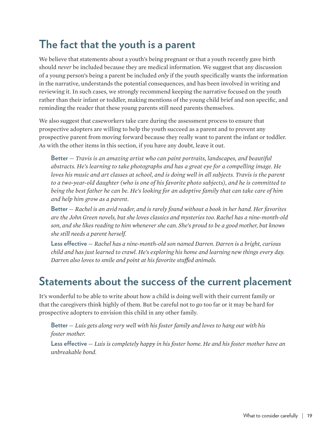## **The fact that the youth is a parent**

We believe that statements about a youth's being pregnant or that a youth recently gave birth should *never* be included because they are medical information. We suggest that any discussion of a young person's being a parent be included *only* if the youth specifically wants the information in the narrative, understands the potential consequences, and has been involved in writing and reviewing it. In such cases, we strongly recommend keeping the narrative focused on the youth rather than their infant or toddler, making mentions of the young child brief and non specific, and reminding the reader that these young parents still need parents themselves.

We also suggest that caseworkers take care during the assessment process to ensure that prospective adopters are willing to help the youth succeed as a parent and to prevent any prospective parent from moving forward because they really want to parent the infant or toddler. As with the other items in this section, if you have any doubt, leave it out.

**Better** *— Travis is an amazing artist who can paint portraits, landscapes, and beautiful abstracts. He's learning to take photographs and has a great eye for a compelling image. He*  loves his music and art classes at school, and is doing well in all subjects. Travis is the parent *to a two-year-old daughter (who is one of his favorite photo subjects), and he is committed to being the best father he can be. He's looking for an adoptive family that can take care of him and help him grow as a parent.* 

**Better** *— Rachel is an avid reader, and is rarely found without a book in her hand. Her favorites are the John Green novels, but she loves classics and mysteries too. Rachel has a nine-month-old son, and she likes reading to him whenever she can. She's proud to be a good mother, but knows she still needs a parent herself.* 

**Less effective** *— Rachel has a nine-month-old son named Darren. Darren is a bright, curious child and has just learned to crawl. He's exploring his home and learning new things every day. Darren also loves to smile and point at his favorite stuffed animals.* 

#### **Statements about the success of the current placement**

It's wonderful to be able to write about how a child is doing well with their current family or that the caregivers think highly of them. But be careful not to go too far or it may be hard for prospective adopters to envision this child in any other family.

**Better** *— Luis gets along very well with his foster family and loves to hang out with his foster mother.* 

**Less effective** *— Luis is completely happy in his foster home. He and his foster mother have an unbreakable bond.*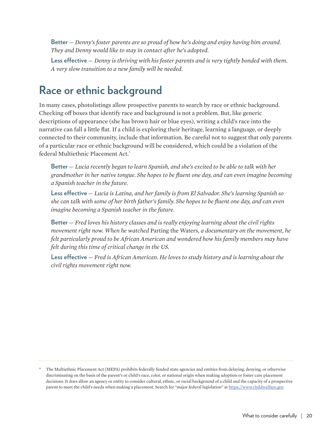**Better** *— Denny's foster parents are so proud of how he's doing and enjoy having him around. They and Denny would like to stay in contact after he's adopted.*

**Less effective** *— Denny is thriving with his foster parents and is very tightly bonded with them. A very slow transition to a new family will be needed.*

## **Race or ethnic background**

In many cases, photolistings allow prospective parents to search by race or ethnic background. Checking off boxes that identify race and background is not a problem. But, like generic descriptions of appearance (she has brown hair or blue eyes), writing a child's race into the narrative can fall a little flat. If a child is exploring their heritage, learning a language, or deeply connected to their community, include that information. Be careful not to suggest that only parents of a particular race or ethnic background will be considered, which could be a violation of the federal Multiethnic Placement Act.\*

**Better** *— Lucia recently began to learn Spanish, and she's excited to be able to talk with her grandmother in her native tongue. She hopes to be fluent one day, and can even imagine becoming a Spanish teacher in the future.* 

**Less effective** *— Lucia is Latina, and her family is from El Salvador. She's learning Spanish so she can talk with some of her birth father's family. She hopes to be fluent one day, and can even imagine becoming a Spanish teacher in the future.*

**Better** *— Fred loves his history classes and is really enjoying learning about the civil rights movement right now. When he watched* Parting the Waters*, a documentary on the movement, he felt particularly proud to be African American and wondered how his family members may have felt during this time of critical change in the US.*

**Less effective** *— Fred is African American. He loves to study history and is learning about the civil rights movement right now.* 

<sup>\*</sup> The Multiethnic Placement Act (MEPA) prohibits federally funded state agencies and entities from delaying, denying, or otherwise discriminating on the basis of the parent's or child's race, color, or national origin when making adoption or foster care placement decisions. It does allow an agency or entity to consider cultural, ethnic, or racial background of a child and the capacity of a prospective parent to meet the child's needs when making a placement. Search for "major federal legislation" at [https://www.childwelfare.gov.](https://www.childwelfare.gov)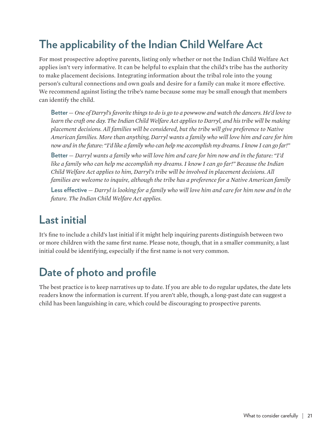## **The applicability of the Indian Child Welfare Act**

For most prospective adoptive parents, listing only whether or not the Indian Child Welfare Act applies isn't very informative. It can be helpful to explain that the child's tribe has the authority to make placement decisions. Integrating information about the tribal role into the young person's cultural connections and own goals and desire for a family can make it more effective. We recommend against listing the tribe's name because some may be small enough that members can identify the child.

**Better** *— One of Darryl's favorite things to do is go to a powwow and watch the dancers. He'd love to learn the craft one day. The Indian Child Welfare Act applies to Darryl, and his tribe will be making placement decisions. All families will be considered, but the tribe will give preference to Native American families. More than anything, Darryl wants a family who will love him and care for him now and in the future: "I'd like a family who can help me accomplish my dreams. I know I can go far!"*

**Better** *— Darryl wants a family who will love him and care for him now and in the future: "I'd like a family who can help me accomplish my dreams. I know I can go far!" Because the Indian Child Welfare Act applies to him, Darryl's tribe will be involved in placement decisions. All families are welcome to inquire, although the tribe has a preference for a Native American family*

**Less effective** *— Darryl is looking for a family who will love him and care for him now and in the future. The Indian Child Welfare Act applies.* 

#### **Last initial**

It's fine to include a child's last initial if it might help inquiring parents distinguish between two or more children with the same first name. Please note, though, that in a smaller community, a last initial could be identifying, especially if the first name is not very common.

## **Date of photo and profile**

The best practice is to keep narratives up to date. If you are able to do regular updates, the date lets readers know the information is current. If you aren't able, though, a long-past date can suggest a child has been languishing in care, which could be discouraging to prospective parents.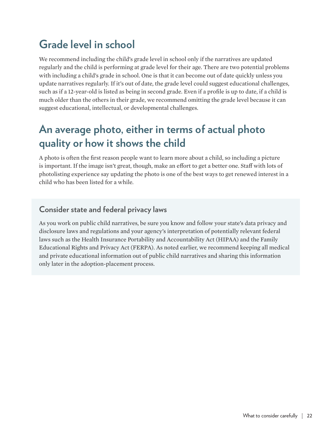## **Grade level in school**

We recommend including the child's grade level in school only if the narratives are updated regularly and the child is performing at grade level for their age. There are two potential problems with including a child's grade in school. One is that it can become out of date quickly unless you update narratives regularly. If it's out of date, the grade level could suggest educational challenges, such as if a 12-year-old is listed as being in second grade. Even if a profile is up to date, if a child is much older than the others in their grade, we recommend omitting the grade level because it can suggest educational, intellectual, or developmental challenges.

#### **An average photo, either in terms of actual photo quality or how it shows the child**

A photo is often the first reason people want to learn more about a child, so including a picture is important. If the image isn't great, though, make an effort to get a better one. Staff with lots of photolisting experience say updating the photo is one of the best ways to get renewed interest in a child who has been listed for a while.

#### **Consider state and federal privacy laws**

As you work on public child narratives, be sure you know and follow your state's data privacy and disclosure laws and regulations and your agency's interpretation of potentially relevant federal laws such as the Health Insurance Portability and Accountability Act (HIPAA) and the Family Educational Rights and Privacy Act (FERPA). As noted earlier, we recommend keeping all medical and private educational information out of public child narratives and sharing this information only later in the adoption-placement process.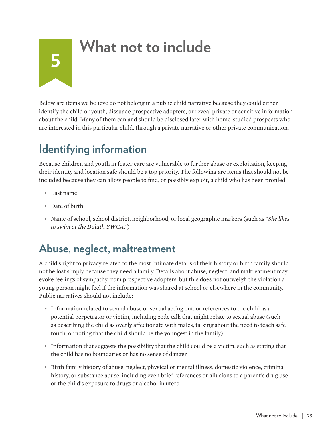## **What not to include**

Below are items we believe do not belong in a public child narrative because they could either identify the child or youth, dissuade prospective adopters, or reveal private or sensitive information about the child. Many of them can and should be disclosed later with home-studied prospects who are interested in this particular child, through a private narrative or other private communication.

## **Identifying information**

Because children and youth in foster care are vulnerable to further abuse or exploitation, keeping their identity and location safe should be a top priority. The following are items that should not be included because they can allow people to find, or possibly exploit, a child who has been profiled:

• Last name

<span id="page-23-0"></span>**5**

- Date of birth
- Name of school, school district, neighborhood, or local geographic markers (such as *"She likes to swim at the Duluth YWCA."*)

#### **Abuse, neglect, maltreatment**

A child's right to privacy related to the most intimate details of their history or birth family should not be lost simply because they need a family. Details about abuse, neglect, and maltreatment may evoke feelings of sympathy from prospective adopters, but this does not outweigh the violation a young person might feel if the information was shared at school or elsewhere in the community. Public narratives should not include:

- Information related to sexual abuse or sexual acting out, or references to the child as a potential perpetrator or victim, including code talk that might relate to sexual abuse (such as describing the child as overly affectionate with males, talking about the need to teach safe touch, or noting that the child should be the youngest in the family)
- Information that suggests the possibility that the child could be a victim, such as stating that the child has no boundaries or has no sense of danger
- Birth family history of abuse, neglect, physical or mental illness, domestic violence, criminal history, or substance abuse, including even brief references or allusions to a parent's drug use or the child's exposure to drugs or alcohol in utero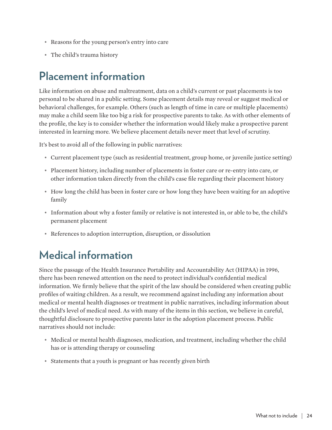- Reasons for the young person's entry into care
- The child's trauma history

#### **Placement information**

Like information on abuse and maltreatment, data on a child's current or past placements is too personal to be shared in a public setting. Some placement details may reveal or suggest medical or behavioral challenges, for example. Others (such as length of time in care or multiple placements) may make a child seem like too big a risk for prospective parents to take. As with other elements of the profile, the key is to consider whether the information would likely make a prospective parent interested in learning more. We believe placement details never meet that level of scrutiny.

It's best to avoid all of the following in public narratives:

- Current placement type (such as residential treatment, group home, or juvenile justice setting)
- Placement history, including number of placements in foster care or re-entry into care, or other information taken directly from the child's case file regarding their placement history
- How long the child has been in foster care or how long they have been waiting for an adoptive family
- Information about why a foster family or relative is not interested in, or able to be, the child's permanent placement
- References to adoption interruption, disruption, or dissolution

#### **Medical information**

Since the passage of the Health Insurance Portability and Accountability Act (HIPAA) in 1996, there has been renewed attention on the need to protect individual's confidential medical information. We firmly believe that the spirit of the law should be considered when creating public profiles of waiting children. As a result, we recommend against including any information about medical or mental health diagnoses or treatment in public narratives, including information about the child's level of medical need. As with many of the items in this section, we believe in careful, thoughtful disclosure to prospective parents later in the adoption placement process. Public narratives should not include:

- Medical or mental health diagnoses, medication, and treatment, including whether the child has or is attending therapy or counseling
- Statements that a youth is pregnant or has recently given birth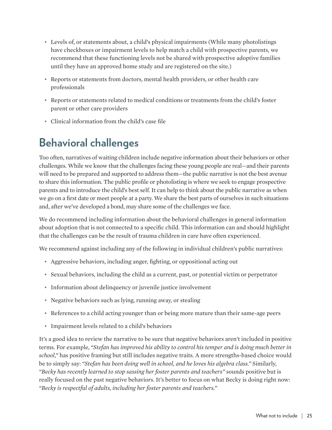- Levels of, or statements about, a child's physical impairments (While many photolistings have checkboxes or impairment levels to help match a child with prospective parents, we recommend that these functioning levels not be shared with prospective adoptive families until they have an approved home study and are registered on the site.)
- Reports or statements from doctors, mental health providers, or other health care professionals
- Reports or statements related to medical conditions or treatments from the child's foster parent or other care providers
- Clinical information from the child's case file

## **Behavioral challenges**

Too often, narratives of waiting children include negative information about their behaviors or other challenges. While we know that the challenges facing these young people are real—and their parents will need to be prepared and supported to address them—the public narrative is not the best avenue to share this information. The public profile or photolisting is where we seek to engage prospective parents and to introduce the child's best self. It can help to think about the public narrative as when we go on a first date or meet people at a party. We share the best parts of ourselves in such situations and, after we've developed a bond, may share some of the challenges we face.

We do recommend including information about the behavioral challenges in general information about adoption that is not connected to a specific child. This information can and should highlight that the challenges can be the result of trauma children in care have often experienced.

We recommend against including any of the following in individual children's public narratives:

- Aggressive behaviors, including anger, fighting, or oppositional acting out
- Sexual behaviors, including the child as a current, past, or potential victim or perpetrator
- Information about delinquency or juvenile justice involvement
- Negative behaviors such as lying, running away, or stealing
- References to a child acting younger than or being more mature than their same-age peers
- Impairment levels related to a child's behaviors

It's a good idea to review the narrative to be sure that negative behaviors aren't included in positive terms. For example, *"Stefan has improved his ability to control his temper and is doing much better in school,"* has positive framing but still includes negative traits. A more strengths-based choice would be to simply say: *"Stefan has been doing well in school, and he loves his algebra class."* Similarly, *"Becky has recently learned to stop sassing her foster parents and teachers"* sounds positive but is really focused on the past negative behaviors. It's better to focus on what Becky is doing right now: *"Becky is respectful of adults, including her foster parents and teachers."*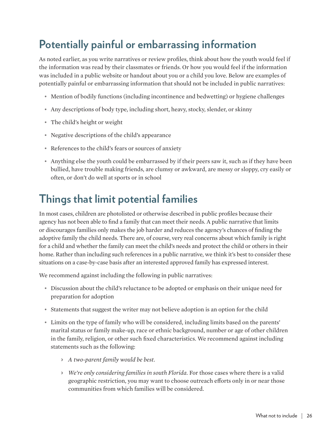## **Potentially painful or embarrassing information**

As noted earlier, as you write narratives or review profiles, think about how the youth would feel if the information was read by their classmates or friends. Or how you would feel if the information was included in a public website or handout about you or a child you love. Below are examples of potentially painful or embarrassing information that should not be included in public narratives:

- Mention of bodily functions (including incontinence and bedwetting) or hygiene challenges
- Any descriptions of body type, including short, heavy, stocky, slender, or skinny
- The child's height or weight
- Negative descriptions of the child's appearance
- References to the child's fears or sources of anxiety
- Anything else the youth could be embarrassed by if their peers saw it, such as if they have been bullied, have trouble making friends, are clumsy or awkward, are messy or sloppy, cry easily or often, or don't do well at sports or in school

#### **Things that limit potential families**

In most cases, children are photolisted or otherwise described in public profiles because their agency has not been able to find a family that can meet their needs. A public narrative that limits or discourages families only makes the job harder and reduces the agency's chances of finding the adoptive family the child needs. There are, of course, very real concerns about which family is right for a child and whether the family can meet the child's needs and protect the child or others in their home. Rather than including such references in a public narrative, we think it's best to consider these situations on a case-by-case basis after an interested approved family has expressed interest.

We recommend against including the following in public narratives:

- Discussion about the child's reluctance to be adopted or emphasis on their unique need for preparation for adoption
- Statements that suggest the writer may not believe adoption is an option for the child
- Limits on the type of family who will be considered, including limits based on the parents' marital status or family make-up, race or ethnic background, number or age of other children in the family, religion, or other such fixed characteristics. We recommend against including statements such as the following:
	- > *A two-parent family would be best.*
	- > *We're only considering families in south Florida.* For those cases where there is a valid geographic restriction, you may want to choose outreach efforts only in or near those communities from which families will be considered.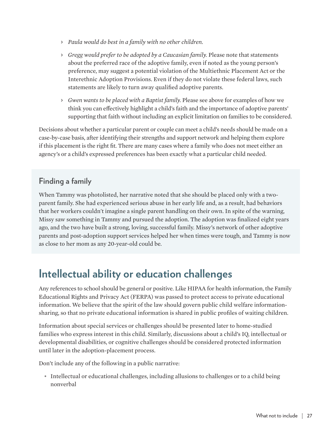- > *Paula would do best in a family with no other children.*
- > *Gregg would prefer to be adopted by a Caucasian family.* Please note that statements about the preferred race of the adoptive family, even if noted as the young person's preference, may suggest a potential violation of the Multiethnic Placement Act or the Interethnic Adoption Provisions. Even if they do not violate these federal laws, such statements are likely to turn away qualified adoptive parents.
- > *Gwen wants to be placed with a Baptist family.* Please see above for examples of how we think you can effectively highlight a child's faith and the importance of adoptive parents' supporting that faith without including an explicit limitation on families to be considered.

Decisions about whether a particular parent or couple can meet a child's needs should be made on a case-by-case basis, after identifying their strengths and support network and helping them explore if this placement is the right fit. There are many cases where a family who does not meet either an agency's or a child's expressed preferences has been exactly what a particular child needed.

#### **Finding a family**

When Tammy was photolisted, her narrative noted that she should be placed only with a twoparent family. She had experienced serious abuse in her early life and, as a result, had behaviors that her workers couldn't imagine a single parent handling on their own. In spite of the warning, Missy saw something in Tammy and pursued the adoption. The adoption was finalized eight years ago, and the two have built a strong, loving, successful family. Missy's network of other adoptive parents and post-adoption support services helped her when times were tough, and Tammy is now as close to her mom as any 20-year-old could be.

#### **Intellectual ability or education challenges**

Any references to school should be general or positive. Like HIPAA for health information, the Family Educational Rights and Privacy Act (FERPA) was passed to protect access to private educational information. We believe that the spirit of the law should govern public child welfare informationsharing, so that no private educational information is shared in public profiles of waiting children.

Information about special services or challenges should be presented later to home-studied families who express interest in this child. Similarly, discussions about a child's IQ, intellectual or developmental disabilities, or cognitive challenges should be considered protected information until later in the adoption-placement process.

Don't include any of the following in a public narrative:

• Intellectual or educational challenges, including allusions to challenges or to a child being nonverbal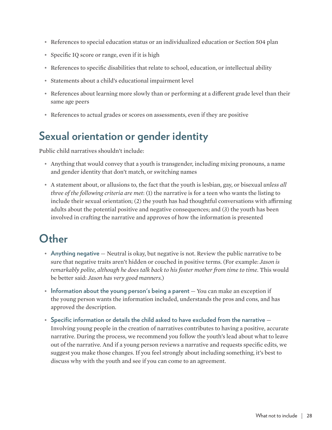- References to special education status or an individualized education or Section 504 plan
- Specific IQ score or range, even if it is high
- References to specific disabilities that relate to school, education, or intellectual ability
- Statements about a child's educational impairment level
- References about learning more slowly than or performing at a different grade level than their same age peers
- References to actual grades or scores on assessments, even if they are positive

#### **Sexual orientation or gender identity**

Public child narratives shouldn't include:

- Anything that would convey that a youth is transgender, including mixing pronouns, a name and gender identity that don't match, or switching names
- A statement about, or allusions to, the fact that the youth is lesbian, gay, or bisexual *unless all three of the following criteria are met*: (1) the narrative is for a teen who wants the listing to include their sexual orientation; (2) the youth has had thoughtful conversations with affirming adults about the potential positive and negative consequences; and (3) the youth has been involved in crafting the narrative and approves of how the information is presented

#### **Other**

- **Anything negative** Neutral is okay, but negative is not. Review the public narrative to be sure that negative traits aren't hidden or couched in positive terms. (For example: *Jason is remarkably polite, although he does talk back to his foster mother from time to time*. This would be better said: *Jason has very good manners.*)
- **Information about the young person's being a parent** You can make an exception if the young person wants the information included, understands the pros and cons, and has approved the description.
- **Specific information or details the child asked to have excluded from the narrative** Involving young people in the creation of narratives contributes to having a positive, accurate narrative. During the process, we recommend you follow the youth's lead about what to leave out of the narrative. And if a young person reviews a narrative and requests specific edits, we suggest you make those changes. If you feel strongly about including something, it's best to discuss why with the youth and see if you can come to an agreement.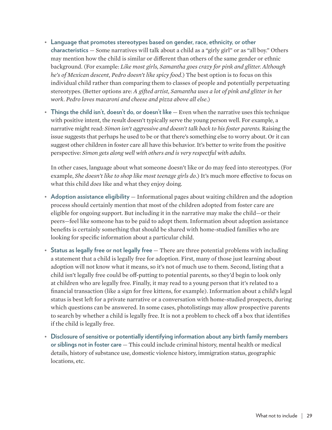- **Language that promotes stereotypes based on gender, race, ethnicity, or other characteristics** — Some narratives will talk about a child as a "girly girl" or as "all boy." Others may mention how the child is similar or different than others of the same gender or ethnic background. (For example: *Like most girls, Samantha goes crazy for pink and glitter. Although he's of Mexican descent, Pedro doesn't like spicy food*.) The best option is to focus on this individual child rather than comparing them to classes of people and potentially perpetuating stereotypes. (Better options are: *A gifted artist, Samantha uses a lot of pink and glitter in her work. Pedro loves macaroni and cheese and pizza above all else*.)
- **Things the child isn't, doesn't do, or doesn't like** Even when the narrative uses this technique with positive intent, the result doesn't typically serve the young person well. For example, a narrative might read: *Simon isn't aggressive and doesn't talk back to his foster parents.* Raising the issue suggests that perhaps he used to be or that there's something else to worry about. Or it can suggest other children in foster care all have this behavior. It's better to write from the positive perspective: *Simon gets along well with others and is very respectful with adults.*

In other cases, language about what someone doesn't like or do may feed into stereotypes. (For example, *She doesn't like to shop like most teenage girls do*.) It's much more effective to focus on what this child *does* like and what they enjoy doing.

- **Adoption assistance eligibility** Informational pages about waiting children and the adoption process should certainly mention that most of the children adopted from foster care are eligible for ongoing support. But including it in the narrative may make the child—or their peers—feel like someone has to be paid to adopt them. Information about adoption assistance benefits is certainly something that should be shared with home-studied families who are looking for specific information about a particular child.
- **Status as legally free or not legally free** There are three potential problems with including a statement that a child is legally free for adoption. First, many of those just learning about adoption will not know what it means, so it's not of much use to them. Second, listing that a child isn't legally free could be off-putting to potential parents, so they'd begin to look only at children who are legally free. Finally, it may read to a young person that it's related to a financial transaction (like a sign for free kittens, for example). Information about a child's legal status is best left for a private narrative or a conversation with home-studied prospects, during which questions can be answered. In some cases, photolistings may allow prospective parents to search by whether a child is legally free. It is not a problem to check off a box that identifies if the child is legally free.
- **Disclosure of sensitive or potentially identifying information about any birth family members or siblings not in foster care** — This could include criminal history, mental health or medical details, history of substance use, domestic violence history, immigration status, geographic locations, etc.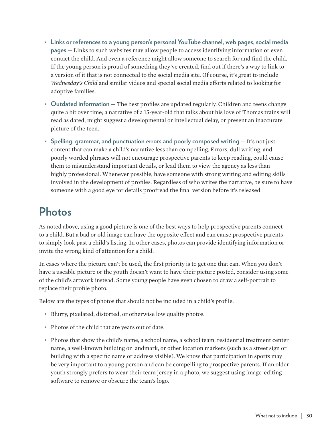- **Links or references to a young person's personal YouTube channel, web pages, social media pages** — Links to such websites may allow people to access identifying information or even contact the child. And even a reference might allow someone to search for and find the child. If the young person is proud of something they've created, find out if there's a way to link to a version of it that is not connected to the social media site. Of course, it's great to include *Wednesday's Child* and similar videos and special social media efforts related to looking for adoptive families.
- **Outdated information** The best profiles are updated regularly. Children and teens change quite a bit over time; a narrative of a 15-year-old that talks about his love of Thomas trains will read as dated, might suggest a developmental or intellectual delay, or present an inaccurate picture of the teen.
- **Spelling, grammar, and punctuation errors and poorly composed writing** It's not just content that can make a child's narrative less than compelling. Errors, dull writing, and poorly worded phrases will not encourage prospective parents to keep reading, could cause them to misunderstand important details, or lead them to view the agency as less than highly professional. Whenever possible, have someone with strong writing and editing skills involved in the development of profiles. Regardless of who writes the narrative, be sure to have someone with a good eye for details proofread the final version before it's released.

#### **Photos**

As noted above, using a good picture is one of the best ways to help prospective parents connect to a child. But a bad or old image can have the opposite effect and can cause prospective parents to simply look past a child's listing. In other cases, photos can provide identifying information or invite the wrong kind of attention for a child.

In cases where the picture can't be used, the first priority is to get one that can. When you don't have a useable picture or the youth doesn't want to have their picture posted, consider using some of the child's artwork instead. Some young people have even chosen to draw a self-portrait to replace their profile photo.

Below are the types of photos that should not be included in a child's profile:

- Blurry, pixelated, distorted, or otherwise low quality photos.
- Photos of the child that are years out of date.
- Photos that show the child's name, a school name, a school team, residential treatment center name, a well-known building or landmark, or other location markers (such as a street sign or building with a specific name or address visible). We know that participation in sports may be very important to a young person and can be compelling to prospective parents. If an older youth strongly prefers to wear their team jersey in a photo, we suggest using image-editing software to remove or obscure the team's logo.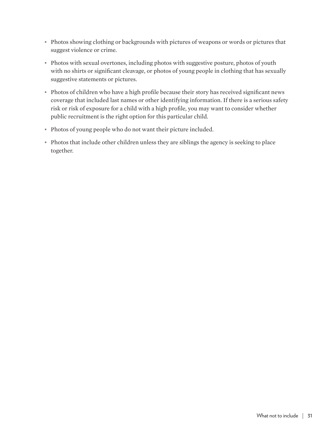- Photos showing clothing or backgrounds with pictures of weapons or words or pictures that suggest violence or crime.
- Photos with sexual overtones, including photos with suggestive posture, photos of youth with no shirts or significant cleavage, or photos of young people in clothing that has sexually suggestive statements or pictures.
- Photos of children who have a high profile because their story has received significant news coverage that included last names or other identifying information. If there is a serious safety risk or risk of exposure for a child with a high profile, you may want to consider whether public recruitment is the right option for this particular child.
- Photos of young people who do not want their picture included.
- Photos that include other children unless they are siblings the agency is seeking to place together.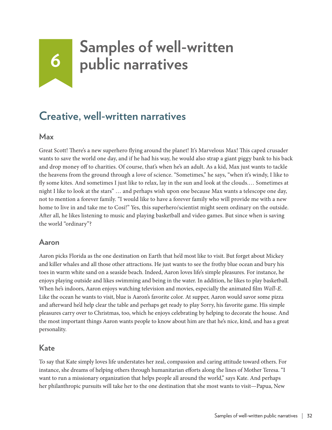## <span id="page-32-0"></span>**6 Samples of well-written**<br>**6 o nublic narratives public narratives**

#### **Creative, well-written narratives**

#### **Max**

Great Scott! There's a new superhero flying around the planet! It's Marvelous Max! This caped crusader wants to save the world one day, and if he had his way, he would also strap a giant piggy bank to his back and drop money off to charities. Of course, that's when he's an adult. As a kid, Max just wants to tackle the heavens from the ground through a love of science. "Sometimes," he says, "when it's windy, I like to fly some kites. And sometimes I just like to relax, lay in the sun and look at the clouds.… Sometimes at night I like to look at the stars" … and perhaps wish upon one because Max wants a telescope one day, not to mention a forever family. "I would like to have a forever family who will provide me with a new home to live in and take me to Cosi!" Yes, this superhero/scientist might seem ordinary on the outside. After all, he likes listening to music and playing basketball and video games. But since when is saving the world "ordinary"?

#### **Aaron**

Aaron picks Florida as the one destination on Earth that he'd most like to visit. But forget about Mickey and killer whales and all those other attractions. He just wants to see the frothy blue ocean and bury his toes in warm white sand on a seaside beach. Indeed, Aaron loves life's simple pleasures. For instance, he enjoys playing outside and likes swimming and being in the water. In addition, he likes to play basketball. When he's indoors, Aaron enjoys watching television and movies, especially the animated film *Wall-E*. Like the ocean he wants to visit, blue is Aaron's favorite color. At supper, Aaron would savor some pizza and afterward he'd help clear the table and perhaps get ready to play Sorry, his favorite game. His simple pleasures carry over to Christmas, too, which he enjoys celebrating by helping to decorate the house. And the most important things Aaron wants people to know about him are that he's nice, kind, and has a great personality.

#### **Kate**

To say that Kate simply loves life understates her zeal, compassion and caring attitude toward others. For instance, she dreams of helping others through humanitarian efforts along the lines of Mother Teresa. "I want to run a missionary organization that helps people all around the world," says Kate. And perhaps her philanthropic pursuits will take her to the one destination that she most wants to visit—Papua, New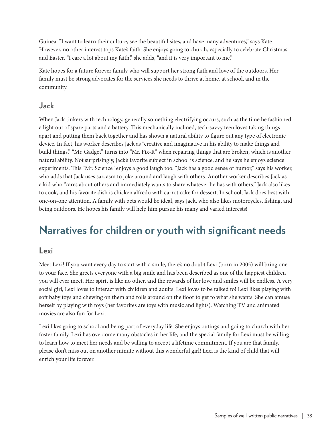Guinea. "I want to learn their culture, see the beautiful sites, and have many adventures," says Kate. However, no other interest tops Kate's faith. She enjoys going to church, especially to celebrate Christmas and Easter. "I care a lot about my faith," she adds, "and it is very important to me."

Kate hopes for a future forever family who will support her strong faith and love of the outdoors. Her family must be strong advocates for the services she needs to thrive at home, at school, and in the community.

#### **Jack**

When Jack tinkers with technology, generally something electrifying occurs, such as the time he fashioned a light out of spare parts and a battery. This mechanically inclined, tech-savvy teen loves taking things apart and putting them back together and has shown a natural ability to figure out any type of electronic device. In fact, his worker describes Jack as "creative and imaginative in his ability to make things and build things." "Mr. Gadget" turns into "Mr. Fix-It" when repairing things that are broken, which is another natural ability. Not surprisingly, Jack's favorite subject in school is science, and he says he enjoys science experiments. This "Mr. Science" enjoys a good laugh too. "Jack has a good sense of humor," says his worker, who adds that Jack uses sarcasm to joke around and laugh with others. Another worker describes Jack as a kid who "cares about others and immediately wants to share whatever he has with others." Jack also likes to cook, and his favorite dish is chicken alfredo with carrot cake for dessert. In school, Jack does best with one-on-one attention. A family with pets would be ideal, says Jack, who also likes motorcycles, fishing, and being outdoors. He hopes his family will help him pursue his many and varied interests!

#### **Narratives for children or youth with significant needs**

#### **Lexi**

Meet Lexi! If you want every day to start with a smile, there's no doubt Lexi (born in 2005) will bring one to your face. She greets everyone with a big smile and has been described as one of the happiest children you will ever meet. Her spirit is like no other, and the rewards of her love and smiles will be endless. A very social girl, Lexi loves to interact with children and adults. Lexi loves to be talked to! Lexi likes playing with soft baby toys and chewing on them and rolls around on the floor to get to what she wants. She can amuse herself by playing with toys (her favorites are toys with music and lights). Watching TV and animated movies are also fun for Lexi.

Lexi likes going to school and being part of everyday life. She enjoys outings and going to church with her foster family. Lexi has overcome many obstacles in her life, and the special family for Lexi must be willing to learn how to meet her needs and be willing to accept a lifetime commitment. If you are that family, please don't miss out on another minute without this wonderful girl! Lexi is the kind of child that will enrich your life forever.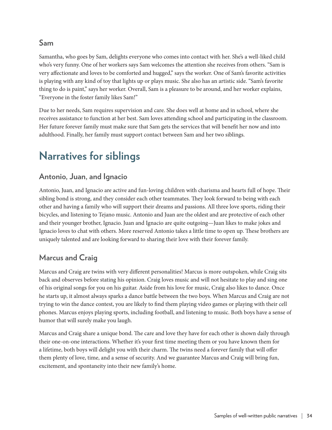#### **Sam**

Samantha, who goes by Sam, delights everyone who comes into contact with her. She's a well-liked child who's very funny. One of her workers says Sam welcomes the attention she receives from others. "Sam is very affectionate and loves to be comforted and hugged," says the worker. One of Sam's favorite activities is playing with any kind of toy that lights up or plays music. She also has an artistic side. "Sam's favorite thing to do is paint," says her worker. Overall, Sam is a pleasure to be around, and her worker explains, "Everyone in the foster family likes Sam!"

Due to her needs, Sam requires supervision and care. She does well at home and in school, where she receives assistance to function at her best. Sam loves attending school and participating in the classroom. Her future forever family must make sure that Sam gets the services that will benefit her now and into adulthood. Finally, her family must support contact between Sam and her two siblings.

### **Narratives for siblings**

#### **Antonio, Juan, and Ignacio**

Antonio, Juan, and Ignacio are active and fun-loving children with charisma and hearts full of hope. Their sibling bond is strong, and they consider each other teammates. They look forward to being with each other and having a family who will support their dreams and passions. All three love sports, riding their bicycles, and listening to Tejano music. Antonio and Juan are the oldest and are protective of each other and their younger brother, Ignacio. Juan and Ignacio are quite outgoing—Juan likes to make jokes and Ignacio loves to chat with others. More reserved Antonio takes a little time to open up. These brothers are uniquely talented and are looking forward to sharing their love with their forever family.

#### **Marcus and Craig**

Marcus and Craig are twins with very different personalities! Marcus is more outspoken, while Craig sits back and observes before stating his opinion. Craig loves music and will not hesitate to play and sing one of his original songs for you on his guitar. Aside from his love for music, Craig also likes to dance. Once he starts up, it almost always sparks a dance battle between the two boys. When Marcus and Craig are not trying to win the dance contest, you are likely to find them playing video games or playing with their cell phones. Marcus enjoys playing sports, including football, and listening to music. Both boys have a sense of humor that will surely make you laugh.

Marcus and Craig share a unique bond. The care and love they have for each other is shown daily through their one-on-one interactions. Whether it's your first time meeting them or you have known them for a lifetime, both boys will delight you with their charm. The twins need a forever family that will offer them plenty of love, time, and a sense of security. And we guarantee Marcus and Craig will bring fun, excitement, and spontaneity into their new family's home.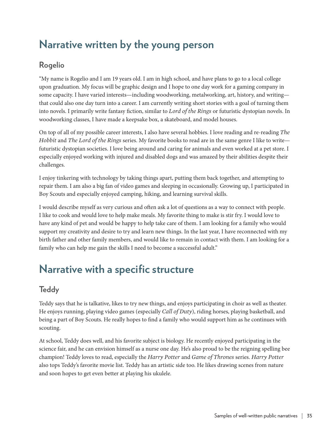### **Narrative written by the young person**

#### **Rogelio**

"My name is Rogelio and I am 19 years old. I am in high school, and have plans to go to a local college upon graduation. My focus will be graphic design and I hope to one day work for a gaming company in some capacity. I have varied interests—including woodworking, metalworking, art, history, and writing that could also one day turn into a career. I am currently writing short stories with a goal of turning them into novels. I primarily write fantasy fiction, similar to *Lord of the Rings* or futuristic dystopian novels. In woodworking classes, I have made a keepsake box, a skateboard, and model houses.

On top of all of my possible career interests, I also have several hobbies. I love reading and re-reading *The Hobbit* and *The Lord of the Rings* series. My favorite books to read are in the same genre I like to write futuristic dystopian societies. I love being around and caring for animals and even worked at a pet store. I especially enjoyed working with injured and disabled dogs and was amazed by their abilities despite their challenges.

I enjoy tinkering with technology by taking things apart, putting them back together, and attempting to repair them. I am also a big fan of video games and sleeping in occasionally. Growing up, I participated in Boy Scouts and especially enjoyed camping, hiking, and learning survival skills.

I would describe myself as very curious and often ask a lot of questions as a way to connect with people. I like to cook and would love to help make meals. My favorite thing to make is stir fry. I would love to have any kind of pet and would be happy to help take care of them. I am looking for a family who would support my creativity and desire to try and learn new things. In the last year, I have reconnected with my birth father and other family members, and would like to remain in contact with them. I am looking for a family who can help me gain the skills I need to become a successful adult."

#### **Narrative with a specific structure**

#### **Teddy**

Teddy says that he is talkative, likes to try new things, and enjoys participating in choir as well as theater. He enjoys running, playing video games (especially *Call of Duty*), riding horses, playing basketball, and being a part of Boy Scouts. He really hopes to find a family who would support him as he continues with scouting.

At school, Teddy does well, and his favorite subject is biology. He recently enjoyed participating in the science fair, and he can envision himself as a nurse one day. He's also proud to be the reigning spelling bee champion! Teddy loves to read, especially the *Harry Potter* and *Game of Thrones* series. *Harry Potter* also tops Teddy's favorite movie list. Teddy has an artistic side too. He likes drawing scenes from nature and soon hopes to get even better at playing his ukulele.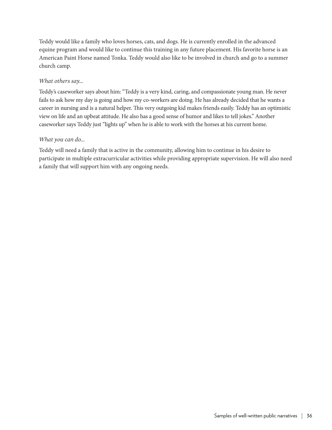Teddy would like a family who loves horses, cats, and dogs. He is currently enrolled in the advanced equine program and would like to continue this training in any future placement. His favorite horse is an American Paint Horse named Tonka. Teddy would also like to be involved in church and go to a summer church camp.

#### *What others say…*

Teddy's caseworker says about him: "Teddy is a very kind, caring, and compassionate young man. He never fails to ask how my day is going and how my co-workers are doing. He has already decided that he wants a career in nursing and is a natural helper. This very outgoing kid makes friends easily. Teddy has an optimistic view on life and an upbeat attitude. He also has a good sense of humor and likes to tell jokes." Another caseworker says Teddy just "lights up" when he is able to work with the horses at his current home.

#### *What you can do…*

Teddy will need a family that is active in the community, allowing him to continue in his desire to participate in multiple extracurricular activities while providing appropriate supervision. He will also need a family that will support him with any ongoing needs.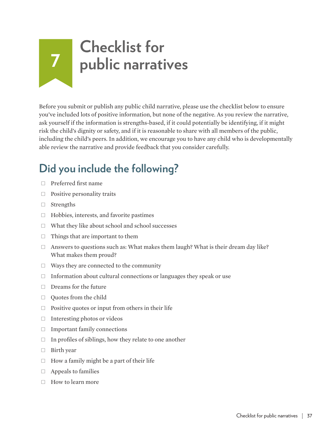## **7 Checklist for public narratives**

Before you submit or publish any public child narrative, please use the checklist below to ensure you've included lots of positive information, but none of the negative. As you review the narrative, ask yourself if the information is strengths-based, if it could potentially be identifying, if it might risk the child's dignity or safety, and if it is reasonable to share with all members of the public, including the child's peers. In addition, we encourage you to have any child who is developmentally able review the narrative and provide feedback that you consider carefully.

## **Did you include the following?**

- $\Box$  Preferred first name
- $\Box$  Positive personality traits
- $\Box$  Strengths
- $\Box$  Hobbies, interests, and favorite pastimes
- $\Box$  What they like about school and school successes
- $\Box$  Things that are important to them
- $\Box$  Answers to questions such as: What makes them laugh? What is their dream day like? What makes them proud?
- $\Box$  Ways they are connected to the community
- $\Box$  Information about cultural connections or languages they speak or use
- $\Box$  Dreams for the future
- Ȗ Quotes from the child
- $\Box$  Positive quotes or input from others in their life
- $\Box$  Interesting photos or videos
- $\Box$  Important family connections
- $\Box$  In profiles of siblings, how they relate to one another
- $\Box$  Birth year
- $\Box$  How a family might be a part of their life
- $\Box$  Appeals to families
- $\Box$  How to learn more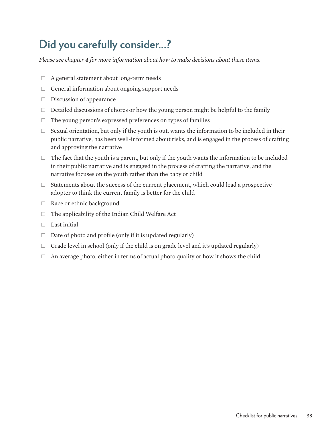## **Did you carefully consider...?**

*Please see chapter 4 for more information about how to make decisions about these items.*

- $\Box$  A general statement about long-term needs
- $\Box$  General information about ongoing support needs
- $\square$  Discussion of appearance
- $\Box$  Detailed discussions of chores or how the young person might be helpful to the family
- $\Box$  The young person's expressed preferences on types of families
- $\Box$  Sexual orientation, but only if the youth is out, wants the information to be included in their public narrative, has been well-informed about risks, and is engaged in the process of crafting and approving the narrative
- $\Box$  The fact that the youth is a parent, but only if the youth wants the information to be included in their public narrative and is engaged in the process of crafting the narrative, and the narrative focuses on the youth rather than the baby or child
- $\Box$  Statements about the success of the current placement, which could lead a prospective adopter to think the current family is better for the child
- □ Race or ethnic background
- $\Box$  The applicability of the Indian Child Welfare Act
- $\Box$  Last initial
- $\Box$  Date of photo and profile (only if it is updated regularly)
- $\Box$  Grade level in school (only if the child is on grade level and it's updated regularly)
- $\Box$  An average photo, either in terms of actual photo quality or how it shows the child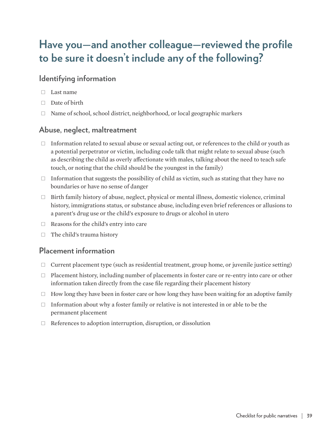## **Have you—and another colleague—reviewed the profile to be sure it doesn't include any of the following?**

#### **Identifying information**

- $\Box$  Last name
- $\Box$  Date of birth
- $\Box$  Name of school, school district, neighborhood, or local geographic markers

#### **Abuse, neglect, maltreatment**

- $\Box$  Information related to sexual abuse or sexual acting out, or references to the child or youth as a potential perpetrator or victim, including code talk that might relate to sexual abuse (such as describing the child as overly affectionate with males, talking about the need to teach safe touch, or noting that the child should be the youngest in the family)
- $\Box$  Information that suggests the possibility of child as victim, such as stating that they have no boundaries or have no sense of danger
- $\Box$  Birth family history of abuse, neglect, physical or mental illness, domestic violence, criminal history, immigrations status, or substance abuse, including even brief references or allusions to a parent's drug use or the child's exposure to drugs or alcohol in utero
- Ȗ Reasons for the child's entry into care
- $\Box$  The child's trauma history

#### **Placement information**

- $\Box$  Current placement type (such as residential treatment, group home, or juvenile justice setting)
- $\Box$  Placement history, including number of placements in foster care or re-entry into care or other information taken directly from the case file regarding their placement history
- $\Box$  How long they have been in foster care or how long they have been waiting for an adoptive family
- $\Box$  Information about why a foster family or relative is not interested in or able to be the permanent placement
- $\Box$  References to adoption interruption, disruption, or dissolution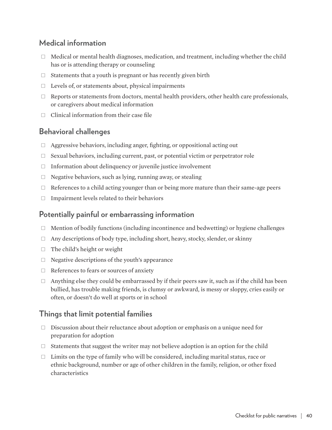#### **Medical information**

- $\Box$  Medical or mental health diagnoses, medication, and treatment, including whether the child has or is attending therapy or counseling
- $\Box$  Statements that a youth is pregnant or has recently given birth
- $\Box$  Levels of, or statements about, physical impairments
- $\Box$  Reports or statements from doctors, mental health providers, other health care professionals, or caregivers about medical information
- $\Box$  Clinical information from their case file

#### **Behavioral challenges**

- $\Box$  Aggressive behaviors, including anger, fighting, or oppositional acting out
- $\Box$  Sexual behaviors, including current, past, or potential victim or perpetrator role
- $\Box$  Information about delinquency or juvenile justice involvement
- $\Box$  Negative behaviors, such as lying, running away, or stealing
- $\Box$  References to a child acting younger than or being more mature than their same-age peers
- $\Box$  Impairment levels related to their behaviors

#### **Potentially painful or embarrassing information**

- $\Box$  Mention of bodily functions (including incontinence and bedwetting) or hygiene challenges
- $\Box$  Any descriptions of body type, including short, heavy, stocky, slender, or skinny
- $\Box$  The child's height or weight
- $\Box$  Negative descriptions of the youth's appearance
- $\Box$  References to fears or sources of anxiety
- $\Box$  Anything else they could be embarrassed by if their peers saw it, such as if the child has been bullied, has trouble making friends, is clumsy or awkward, is messy or sloppy, cries easily or often, or doesn't do well at sports or in school

#### **Things that limit potential families**

- $\Box$  Discussion about their reluctance about adoption or emphasis on a unique need for preparation for adoption
- $\Box$  Statements that suggest the writer may not believe adoption is an option for the child
- $\Box$  Limits on the type of family who will be considered, including marital status, race or ethnic background, number or age of other children in the family, religion, or other fixed characteristics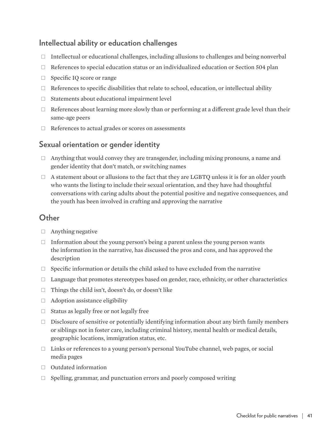#### **Intellectual ability or education challenges**

- $\Box$  Intellectual or educational challenges, including allusions to challenges and being nonverbal
- $\Box$  References to special education status or an individualized education or Section 504 plan
- □ Specific IQ score or range
- $\Box$  References to specific disabilities that relate to school, education, or intellectual ability
- $\Box$  Statements about educational impairment level
- $\Box$  References about learning more slowly than or performing at a different grade level than their same-age peers
- Ȗ References to actual grades or scores on assessments

#### **Sexual orientation or gender identity**

- $\Box$  Anything that would convey they are transgender, including mixing pronouns, a name and gender identity that don't match, or switching names
- $\Box$  A statement about or allusions to the fact that they are LGBTQ unless it is for an older youth who wants the listing to include their sexual orientation, and they have had thoughtful conversations with caring adults about the potential positive and negative consequences, and the youth has been involved in crafting and approving the narrative

#### **Other**

- $\Box$  Anything negative
- $\Box$  Information about the young person's being a parent unless the young person wants the information in the narrative, has discussed the pros and cons, and has approved the description
- $\Box$  Specific information or details the child asked to have excluded from the narrative
- $\Box$  Language that promotes stereotypes based on gender, race, ethnicity, or other characteristics
- $\Box$  Things the child isn't, doesn't do, or doesn't like
- $\Box$  Adoption assistance eligibility
- $\Box$  Status as legally free or not legally free
- $\Box$  Disclosure of sensitive or potentially identifying information about any birth family members or siblings not in foster care, including criminal history, mental health or medical details, geographic locations, immigration status, etc.
- $\Box$  Links or references to a young person's personal YouTube channel, web pages, or social media pages
- Ȗ Outdated information
- $\Box$  Spelling, grammar, and punctuation errors and poorly composed writing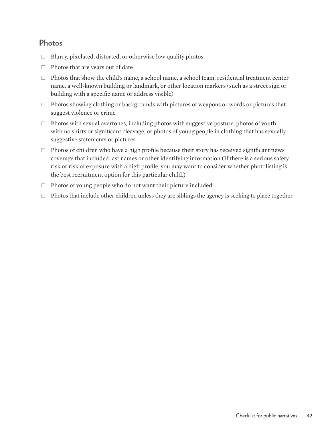#### **Photos**

- $\Box$  Blurry, pixelated, distorted, or otherwise low quality photos
- $\Box$  Photos that are years out of date
- $\Box$  Photos that show the child's name, a school name, a school team, residential treatment center name, a well-known building or landmark, or other location markers (such as a street sign or building with a specific name or address visible)
- $\Box$  Photos showing clothing or backgrounds with pictures of weapons or words or pictures that suggest violence or crime
- $\Box$  Photos with sexual overtones, including photos with suggestive posture, photos of youth with no shirts or significant cleavage, or photos of young people in clothing that has sexually suggestive statements or pictures
- $\Box$  Photos of children who have a high profile because their story has received significant news coverage that included last names or other identifying information (If there is a serious safety risk or risk of exposure with a high profile, you may want to consider whether photolisting is the best recruitment option for this particular child.)
- $\Box$  Photos of young people who do not want their picture included
- $\Box$  Photos that include other children unless they are siblings the agency is seeking to place together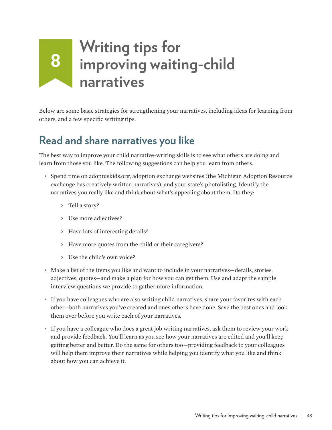# **<sup>8</sup> Writing tips for improving waiting-child narratives**

Below are some basic strategies for strengthening your narratives, including ideas for learning from others, and a few specific writing tips.

## **Read and share narratives you like**

The best way to improve your child narrative-writing skills is to see what others are doing and learn from those you like. The following suggestions can help you learn from others.

- Spend time on adoptuskids.org, adoption exchange websites (the Michigan Adoption Resource exchange has creatively written narratives), and your state's photolisting. Identify the narratives you really like and think about what's appealing about them. Do they:
	- > Tell a story?
	- > Use more adjectives?
	- > Have lots of interesting details?
	- > Have more quotes from the child or their caregivers?
	- > Use the child's own voice?
- Make a list of the items you like and want to include in your narratives—details, stories, adjectives, quotes—and make a plan for how you can get them. Use and adapt the sample interview questions we provide to gather more information.
- If you have colleagues who are also writing child narratives, share your favorites with each other—both narratives you've created and ones others have done. Save the best ones and look them over before you write each of your narratives.
- If you have a colleague who does a great job writing narratives, ask them to review your work and provide feedback. You'll learn as you see how your narratives are edited and you'll keep getting better and better. Do the same for others too—providing feedback to your colleagues will help them improve their narratives while helping you identify what you like and think about how you can achieve it.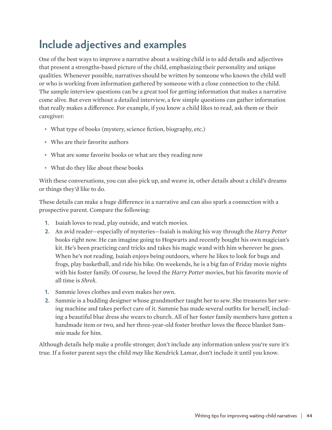## **Include adjectives and examples**

One of the best ways to improve a narrative about a waiting child is to add details and adjectives that present a strengths-based picture of the child, emphasizing their personality and unique qualities. Whenever possible, narratives should be written by someone who knows the child well or who is working from information gathered by someone with a close connection to the child. The sample interview questions can be a great tool for getting information that makes a narrative come alive. But even without a detailed interview, a few simple questions can gather information that really makes a difference. For example, if you know a child likes to read, ask them or their caregiver:

- What type of books (mystery, science fiction, biography, etc.)
- Who are their favorite authors
- What are some favorite books or what are they reading now
- What do they like about these books

With these conversations, you can also pick up, and weave in, other details about a child's dreams or things they'd like to do.

These details can make a huge difference in a narrative and can also spark a connection with a prospective parent. Compare the following:

- **1.** Isaiah loves to read, play outside, and watch movies.
- **2.** An avid reader—especially of mysteries—Isaiah is making his way through the *Harry Potter* books right now. He can imagine going to Hogwarts and recently bought his own magician's kit. He's been practicing card tricks and takes his magic wand with him wherever he goes. When he's not reading, Isaiah enjoys being outdoors, where he likes to look for bugs and frogs, play basketball, and ride his bike. On weekends, he is a big fan of Friday movie nights with his foster family. Of course, he loved the *Harry Potter* movies, but his favorite movie of all time is *Shrek*.
- **1.** Sammie loves clothes and even makes her own.
- **2.** Sammie is a budding designer whose grandmother taught her to sew. She treasures her sewing machine and takes perfect care of it. Sammie has made several outfits for herself, including a beautiful blue dress she wears to church. All of her foster family members have gotten a handmade item or two, and her three-year-old foster brother loves the fleece blanket Sammie made for him.

Although details help make a profile stronger, don't include any information unless you're sure it's true. If a foster parent says the child *may* like Kendrick Lamar, don't include it until you know.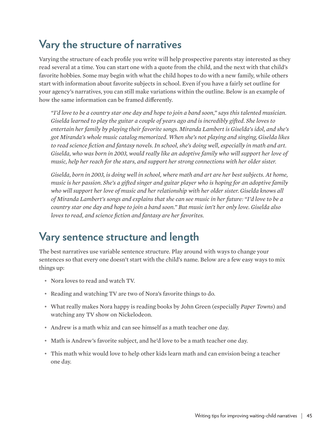## **Vary the structure of narratives**

Varying the structure of each profile you write will help prospective parents stay interested as they read several at a time. You can start one with a quote from the child, and the next with that child's favorite hobbies. Some may begin with what the child hopes to do with a new family, while others start with information about favorite subjects in school. Even if you have a fairly set outline for your agency's narratives, you can still make variations within the outline. Below is an example of how the same information can be framed differently.

*"I'd love to be a country star one day and hope to join a band soon," says this talented musician. Giselda learned to play the guitar a couple of years ago and is incredibly gifted. She loves to entertain her family by playing their favorite songs. Miranda Lambert is Giselda's idol, and she's got Miranda's whole music catalog memorized. When she's not playing and singing, Giselda likes to read science fiction and fantasy novels. In school, she's doing well, especially in math and art. Giselda, who was born in 2003, would really like an adoptive family who will support her love of music, help her reach for the stars, and support her strong connections with her older sister.*

*Giselda, born in 2003, is doing well in school, where math and art are her best subjects. At home, music is her passion. She's a gifted singer and guitar player who is hoping for an adoptive family who will support her love of music and her relationship with her older sister. Giselda knows all of Miranda Lambert's songs and explains that she can see music in her future: "I'd love to be a country star one day and hope to join a band soon." But music isn't her only love. Giselda also loves to read, and science fiction and fantasy are her favorites.*

## **Vary sentence structure and length**

The best narratives use variable sentence structure. Play around with ways to change your sentences so that every one doesn't start with the child's name. Below are a few easy ways to mix things up:

- Nora loves to read and watch TV.
- Reading and watching TV are two of Nora's favorite things to do.
- What really makes Nora happy is reading books by John Green (especially *Paper Towns*) and watching any TV show on Nickelodeon.
- Andrew is a math whiz and can see himself as a math teacher one day.
- Math is Andrew's favorite subject, and he'd love to be a math teacher one day.
- This math whiz would love to help other kids learn math and can envision being a teacher one day.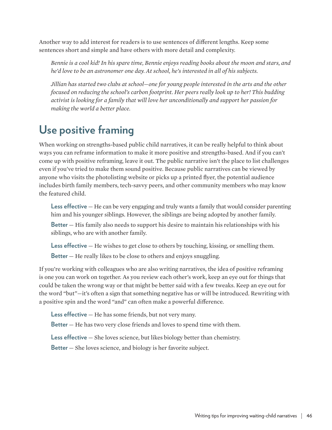Another way to add interest for readers is to use sentences of different lengths. Keep some sentences short and simple and have others with more detail and complexity.

*Bennie is a cool kid! In his spare time, Bennie enjoys reading books about the moon and stars, and he'd love to be an astronomer one day. At school, he's interested in all of his subjects.* 

*Jillian has started two clubs at school—one for young people interested in the arts and the other focused on reducing the school's carbon footprint. Her peers really look up to her! This budding activist is looking for a family that will love her unconditionally and support her passion for making the world a better place.* 

## **Use positive framing**

When working on strengths-based public child narratives, it can be really helpful to think about ways you can reframe information to make it more positive and strengths-based. And if you can't come up with positive reframing, leave it out. The public narrative isn't the place to list challenges even if you've tried to make them sound positive. Because public narratives can be viewed by anyone who visits the photolisting website or picks up a printed flyer, the potential audience includes birth family members, tech-savvy peers, and other community members who may know the featured child.

**Less effective** — He can be very engaging and truly wants a family that would consider parenting him and his younger siblings. However, the siblings are being adopted by another family.

**Better** — His family also needs to support his desire to maintain his relationships with his siblings, who are with another family.

**Less effective** — He wishes to get close to others by touching, kissing, or smelling them. **Better** – He really likes to be close to others and enjoys snuggling.

If you're working with colleagues who are also writing narratives, the idea of positive reframing is one you can work on together. As you review each other's work, keep an eye out for things that could be taken the wrong way or that might be better said with a few tweaks. Keep an eye out for the word "but"—it's often a sign that something negative has or will be introduced. Rewriting with a positive spin and the word "and" can often make a powerful difference.

**Less effective** — He has some friends, but not very many.

**Better** — He has two very close friends and loves to spend time with them.

**Less effective** — She loves science, but likes biology better than chemistry.

**Better** — She loves science, and biology is her favorite subject.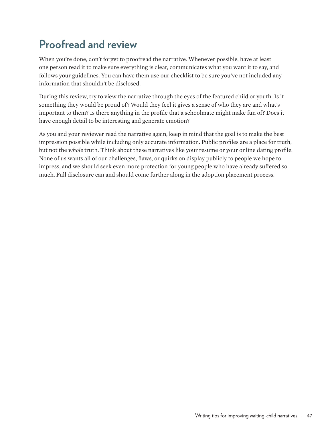## **Proofread and review**

When you're done, don't forget to proofread the narrative. Whenever possible, have at least one person read it to make sure everything is clear, communicates what you want it to say, and follows your guidelines. You can have them use our checklist to be sure you've not included any information that shouldn't be disclosed.

During this review, try to view the narrative through the eyes of the featured child or youth. Is it something they would be proud of? Would they feel it gives a sense of who they are and what's important to them? Is there anything in the profile that a schoolmate might make fun of? Does it have enough detail to be interesting and generate emotion?

As you and your reviewer read the narrative again, keep in mind that the goal is to make the best impression possible while including only accurate information. Public profiles are a place for truth, but not the *whole* truth. Think about these narratives like your resume or your online dating profile. None of us wants all of our challenges, flaws, or quirks on display publicly to people we hope to impress, and we should seek even more protection for young people who have already suffered so much. Full disclosure can and should come further along in the adoption placement process.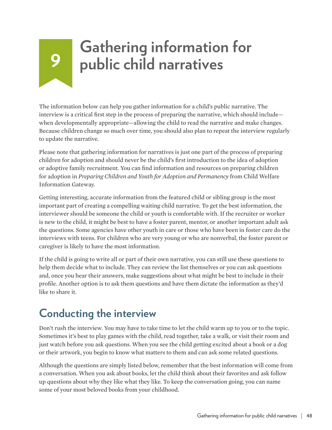## **<sup>9</sup> Gathering information for public child narratives**

The information below can help you gather information for a child's public narrative. The interview is a critical first step in the process of preparing the narrative, which should include when developmentally appropriate—allowing the child to read the narrative and make changes. Because children change so much over time, you should also plan to repeat the interview regularly to update the narrative.

Please note that gathering information for narratives is just one part of the process of preparing children for adoption and should never be the child's first introduction to the idea of adoption or adoptive family recruitment. You can find information and resources on preparing children for adoption in *[Preparing Children and Youth for Adoption and Permanency](https://www.childwelfare.gov/pubPDFs/preparing_youth.pdf)* from Child Welfare Information Gateway.

Getting interesting, accurate information from the featured child or sibling group is the most important part of creating a compelling waiting child narrative. To get the best information, the interviewer should be someone the child or youth is comfortable with. If the recruiter or worker is new to the child, it might be best to have a foster parent, mentor, or another important adult ask the questions. Some agencies have other youth in care or those who have been in foster care do the interviews with teens. For children who are very young or who are nonverbal, the foster parent or caregiver is likely to have the most information.

If the child is going to write all or part of their own narrative, you can still use these questions to help them decide what to include. They can review the list themselves or you can ask questions and, once you hear their answers, make suggestions about what might be best to include in their profile. Another option is to ask them questions and have them dictate the information as they'd like to share it.

## **Conducting the interview**

Don't rush the interview. You may have to take time to let the child warm up to you or to the topic. Sometimes it's best to play games with the child, read together, take a walk, or visit their room and just watch before you ask questions. When you see the child getting excited about a book or a dog or their artwork, you begin to know what matters to them and can ask some related questions.

Although the questions are simply listed below, remember that the best information will come from a conversation. When you ask about books, let the child think about their favorites and ask follow up questions about why they like what they like. To keep the conversation going, you can name some of your most beloved books from your childhood.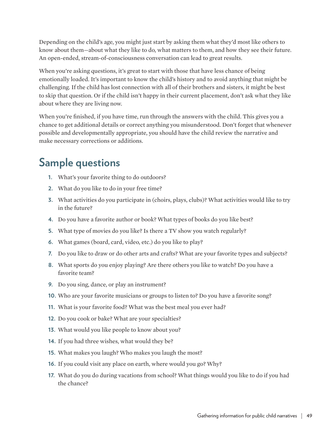Depending on the child's age, you might just start by asking them what they'd most like others to know about them—about what they like to do, what matters to them, and how they see their future. An open-ended, stream-of-consciousness conversation can lead to great results.

When you're asking questions, it's great to start with those that have less chance of being emotionally loaded. It's important to know the child's history and to avoid anything that might be challenging. If the child has lost connection with all of their brothers and sisters, it might be best to skip that question. Or if the child isn't happy in their current placement, don't ask what they like about where they are living now.

When you're finished, if you have time, run through the answers with the child. This gives you a chance to get additional details or correct anything you misunderstood. Don't forget that whenever possible and developmentally appropriate, you should have the child review the narrative and make necessary corrections or additions.

## **Sample questions**

- **1.** What's your favorite thing to do outdoors?
- **2.** What do you like to do in your free time?
- **3.** What activities do you participate in (choirs, plays, clubs)? What activities would like to try in the future?
- **4.** Do you have a favorite author or book? What types of books do you like best?
- **5.** What type of movies do you like? Is there a TV show you watch regularly?
- **6.** What games (board, card, video, etc.) do you like to play?
- **7.** Do you like to draw or do other arts and crafts? What are your favorite types and subjects?
- **8.** What sports do you enjoy playing? Are there others you like to watch? Do you have a favorite team?
- **9.** Do you sing, dance, or play an instrument?
- **10.** Who are your favorite musicians or groups to listen to? Do you have a favorite song?
- **11.** What is your favorite food? What was the best meal you ever had?
- **12.** Do you cook or bake? What are your specialties?
- **13.** What would you like people to know about you?
- **14.** If you had three wishes, what would they be?
- **15.** What makes you laugh? Who makes you laugh the most?
- **16.** If you could visit any place on earth, where would you go? Why?
- **17.** What do you do during vacations from school? What things would you like to do if you had the chance?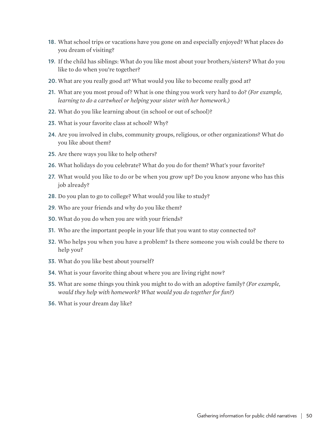- **18.** What school trips or vacations have you gone on and especially enjoyed? What places do you dream of visiting?
- **19.** If the child has siblings: What do you like most about your brothers/sisters? What do you like to do when you're together?
- **20.** What are you really good at? What would you like to become really good at?
- **21.** What are you most proud of? What is one thing you work very hard to do? *(For example, learning to do a cartwheel or helping your sister with her homework.)*
- **22.** What do you like learning about (in school or out of school)?
- **23.** What is your favorite class at school? Why?
- **24.** Are you involved in clubs, community groups, religious, or other organizations? What do you like about them?
- **25.** Are there ways you like to help others?
- **26.** What holidays do you celebrate? What do you do for them? What's your favorite?
- **27.** What would you like to do or be when you grow up? Do you know anyone who has this job already?
- **28.** Do you plan to go to college? What would you like to study?
- **29.** Who are your friends and why do you like them?
- **30.** What do you do when you are with your friends?
- **31.** Who are the important people in your life that you want to stay connected to?
- **32.** Who helps you when you have a problem? Is there someone you wish could be there to help you?
- **33.** What do you like best about yourself?
- **34.** What is your favorite thing about where you are living right now?
- **35.** What are some things you think you might to do with an adoptive family? *(For example, would they help with homework? What would you do together for fun?)*
- **36.** What is your dream day like?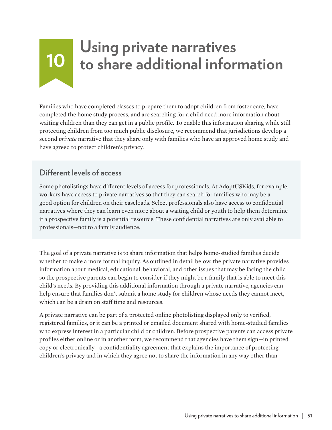# **<sup>10</sup> Using private narratives to share additional information**

Families who have completed classes to prepare them to adopt children from foster care, have completed the home study process, and are searching for a child need more information about waiting children than they can get in a public profile. To enable this information sharing while still protecting children from too much public disclosure, we recommend that jurisdictions develop a second *private* narrative that they share only with families who have an approved home study and have agreed to protect children's privacy.

#### **Different levels of access**

Some photolistings have different levels of access for professionals. At AdoptUSKids, for example, workers have access to private narratives so that they can search for families who may be a good option for children on their caseloads. Select professionals also have access to confidential narratives where they can learn even more about a waiting child or youth to help them determine if a prospective family is a potential resource. These confidential narratives are only available to professionals—not to a family audience.

The goal of a private narrative is to share information that helps home-studied families decide whether to make a more formal inquiry. As outlined in detail below, the private narrative provides information about medical, educational, behavioral, and other issues that may be facing the child so the prospective parents can begin to consider if they might be a family that is able to meet this child's needs. By providing this additional information through a private narrative, agencies can help ensure that families don't submit a home study for children whose needs they cannot meet, which can be a drain on staff time and resources.

A private narrative can be part of a protected online photolisting displayed only to verified, registered families, or it can be a printed or emailed document shared with home-studied families who express interest in a particular child or children. Before prospective parents can access private profiles either online or in another form, we recommend that agencies have them sign—in printed copy or electronically—a confidentiality agreement that explains the importance of protecting children's privacy and in which they agree not to share the information in any way other than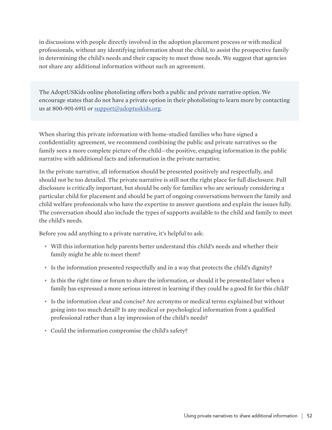in discussions with people directly involved in the adoption placement process or with medical professionals, without any identifying information about the child, to assist the prospective family in determining the child's needs and their capacity to meet those needs. We suggest that agencies not share any additional information without such an agreement.

The AdoptUSKids online photolisting offers both a public and private narrative option. We encourage states that do not have a private option in their photolisting to learn more by contacting us at 800-901-6911 or [support@adoptuskids.org](mailto:support%40adoptuskids.org?subject=).

When sharing this private information with home-studied families who have signed a confidentiality agreement, we recommend combining the public and private narratives so the family sees a more complete picture of the child—the positive, engaging information in the public narrative with additional facts and information in the private narrative.

In the private narrative, all information should be presented positively and respectfully, and should not be too detailed. The private narrative is still not the right place for full disclosure. Full disclosure is critically important, but should be only for families who are seriously considering a particular child for placement and should be part of ongoing conversations between the family and child welfare professionals who have the expertise to answer questions and explain the issues fully. The conversation should also include the types of supports available to the child and family to meet the child's needs.

Before you add anything to a private narrative, it's helpful to ask:

- Will this information help parents better understand this child's needs and whether their family might be able to meet them?
- Is the information presented respectfully and in a way that protects the child's dignity?
- Is this the right time or forum to share the information, or should it be presented later when a family has expressed a more serious interest in learning if they could be a good fit for this child?
- Is the information clear and concise? Are acronyms or medical terms explained but without going into too much detail? Is any medical or psychological information from a qualified professional rather than a lay impression of the child's needs?
- Could the information compromise the child's safety?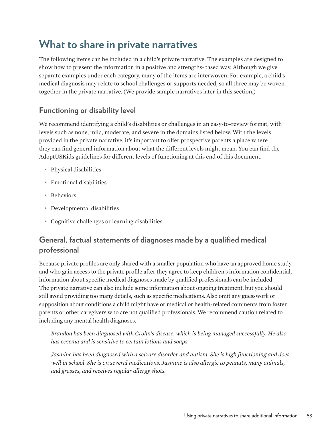## **What to share in private narratives**

The following items can be included in a child's private narrative. The examples are designed to show how to present the information in a positive and strengths-based way. Although we give separate examples under each category, many of the items are interwoven. For example, a child's medical diagnosis may relate to school challenges or supports needed, so all three may be woven together in the private narrative. (We provide sample narratives later in this section.)

#### **Functioning or disability level**

We recommend identifying a child's disabilities or challenges in an easy-to-review format, with levels such as none, mild, moderate, and severe in the domains listed below. With the levels provided in the private narrative, it's important to offer prospective parents a place where they can find general information about what the different levels might mean. You can find the AdoptUSKids guidelines for different levels of functioning at this end of this document.

- Physical disabilities
- Emotional disabilities
- Behaviors
- Developmental disabilities
- Cognitive challenges or learning disabilities

#### **General, factual statements of diagnoses made by a qualified medical professional**

Because private profiles are only shared with a smaller population who have an approved home study and who gain access to the private profile after they agree to keep children's information confidential, information about specific medical diagnoses made by qualified professionals can be included. The private narrative can also include some information about ongoing treatment, but you should still avoid providing too many details, such as specific medications. Also omit any guesswork or supposition about conditions a child might have or medical or health-related comments from foster parents or other caregivers who are not qualified professionals. We recommend caution related to including any mental health diagnoses.

*Brandon has been diagnosed with Crohn's disease, which is being managed successfully. He also has eczema and is sensitive to certain lotions and soaps.*

*Jasmine has been diagnosed with a seizure disorder and autism. She is high functioning and does well in school. She is on several medications. Jasmine is also allergic to peanuts, many animals, and grasses, and receives regular allergy shots.*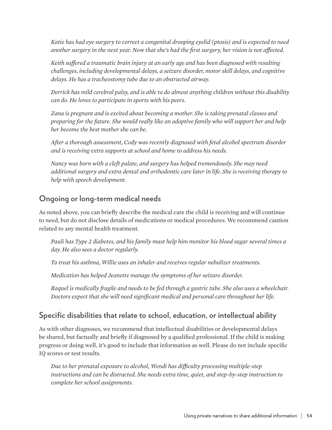*Katie has had eye surgery to correct a congenital drooping eyelid (ptosis) and is expected to need another surgery in the next year. Now that she's had the first surgery, her vision is not affected.* 

*Keith suffered a traumatic brain injury at an early age and has been diagnosed with resulting challenges, including developmental delays, a seizure disorder, motor skill delays, and cognitive delays. He has a tracheostomy tube due to an obstructed airway.*

*Derrick has mild cerebral palsy, and is able to do almost anything children without this disability can do. He loves to participate in sports with his peers.*

*Zana is pregnant and is excited about becoming a mother. She is taking prenatal classes and preparing for the future. She would really like an adoptive family who will support her and help her become the best mother she can be.*

*After a thorough assessment, Cody was recently diagnosed with fetal alcohol spectrum disorder and is receiving extra supports at school and home to address his needs.* 

*Nancy was born with a cleft palate, and surgery has helped tremendously. She may need additional surgery and extra dental and orthodontic care later in life. She is receiving therapy to help with speech development.*

#### **Ongoing or long-term medical needs**

As noted above, you can briefly describe the medical care the child is receiving and will continue to need, but do not disclose details of medications or medical procedures. We recommend caution related to any mental health treatment.

*Pauli has Type 2 diabetes, and his family must help him monitor his blood sugar several times a day. He also sees a doctor regularly.* 

*To treat his asthma, Willie uses an inhaler and receives regular nebulizer treatments.*

*Medication has helped Jeanette manage the symptoms of her seizure disorder.* 

*Raquel is medically fragile and needs to be fed through a gastric tube. She also uses a wheelchair. Doctors expect that she will need significant medical and personal care throughout her life.* 

#### **Specific disabilities that relate to school, education, or intellectual ability**

As with other diagnoses, we recommend that intellectual disabilities or developmental delays be shared, but factually and briefly if diagnosed by a qualified professional. If the child is making progress or doing well, it's good to include that information as well. Please do not include specific IQ scores or test results.

*Due to her prenatal exposure to alcohol, Wendi has difficulty processing multiple-step instructions and can be distracted. She needs extra time, quiet, and step-by-step instruction to complete her school assignments.*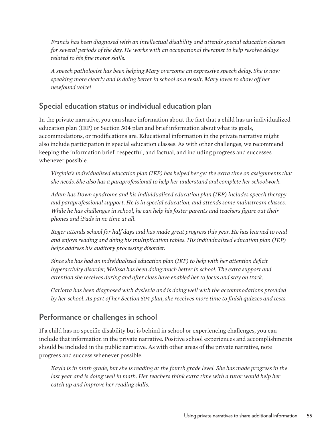*Francis has been diagnosed with an intellectual disability and attends special education classes for several periods of the day. He works with an occupational therapist to help resolve delays related to his fine motor skills.* 

*A speech pathologist has been helping Mary overcome an expressive speech delay. She is now speaking more clearly and is doing better in school as a result. Mary loves to show off her newfound voice!* 

#### **Special education status or individual education plan**

In the private narrative, you can share information about the fact that a child has an individualized education plan (IEP) or Section 504 plan and brief information about what its goals, accommodations, or modifications are. Educational information in the private narrative might also include participation in special education classes. As with other challenges, we recommend keeping the information brief, respectful, and factual, and including progress and successes whenever possible.

*Virginia's individualized education plan (IEP) has helped her get the extra time on assignments that she needs. She also has a paraprofessional to help her understand and complete her schoolwork.*

*Adam has Down syndrome and his individualized education plan (IEP) includes speech therapy and paraprofessional support. He is in special education, and attends some mainstream classes. While he has challenges in school, he can help his foster parents and teachers figure out their phones and iPads in no time at all.* 

*Roger attends school for half days and has made great progress this year. He has learned to read and enjoys reading and doing his multiplication tables. His individualized education plan (IEP) helps address his auditory processing disorder.*

*Since she has had an individualized education plan (IEP) to help with her attention deficit hyperactivity disorder, Melissa has been doing much better in school. The extra support and attention she receives during and after class have enabled her to focus and stay on track.*

*Carlotta has been diagnosed with dyslexia and is doing well with the accommodations provided by her school. As part of her Section 504 plan, she receives more time to finish quizzes and tests.*

#### **Performance or challenges in school**

If a child has no specific disability but is behind in school or experiencing challenges, you can include that information in the private narrative. Positive school experiences and accomplishments should be included in the public narrative. As with other areas of the private narrative, note progress and success whenever possible.

*Kayla is in ninth grade, but she is reading at the fourth grade level. She has made progress in the*  last year and is doing well in math. Her teachers think extra time with a tutor would help her *catch up and improve her reading skills.*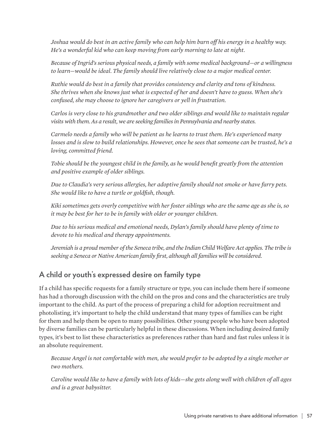*Joshua would do best in an active family who can help him burn off his energy in a healthy way. He's a wonderful kid who can keep moving from early morning to late at night.* 

*Because of Ingrid's serious physical needs, a family with some medical background—or a willingness to learn—would be ideal. The family should live relatively close to a major medical center.* 

*Ruthie would do best in a family that provides consistency and clarity and tons of kindness. She thrives when she knows just what is expected of her and doesn't have to guess. When she's confused, she may choose to ignore her caregivers or yell in frustration.* 

*Carlos is very close to his grandmother and two older siblings and would like to maintain regular visits with them. As a result, we are seeking families in Pennsylvania and nearby states.*

*Carmelo needs a family who will be patient as he learns to trust them. He's experienced many losses and is slow to build relationships. However, once he sees that someone can be trusted, he's a loving, committed friend.* 

*Tobie should be the youngest child in the family, as he would benefit greatly from the attention and positive example of older siblings.* 

*Due to Claudia's very serious allergies, her adoptive family should not smoke or have furry pets. She would like to have a turtle or goldfish, though.* 

*Kiki sometimes gets overly competitive with her foster siblings who are the same age as she is, so it may be best for her to be in family with older or younger children.*

*Due to his serious medical and emotional needs, Dylan's family should have plenty of time to devote to his medical and therapy appointments.* 

*Jeremiah is a proud member of the Seneca tribe, and the Indian Child Welfare Act applies. The tribe is seeking a Seneca or Native American family first, although all families will be considered.* 

#### **A child or youth's expressed desire on family type**

If a child has specific requests for a family structure or type, you can include them here if someone has had a thorough discussion with the child on the pros and cons and the characteristics are truly important to the child. As part of the process of preparing a child for adoption recruitment and photolisting, it's important to help the child understand that many types of families can be right for them and help them be open to many possibilities. Other young people who have been adopted by diverse families can be particularly helpful in these discussions. When including desired family types, it's best to list these characteristics as preferences rather than hard and fast rules unless it is an absolute requirement.

*Because Angel is not comfortable with men, she would prefer to be adopted by a single mother or two mothers.*

*Caroline would like to have a family with lots of kids—she gets along well with children of all ages and is a great babysitter.*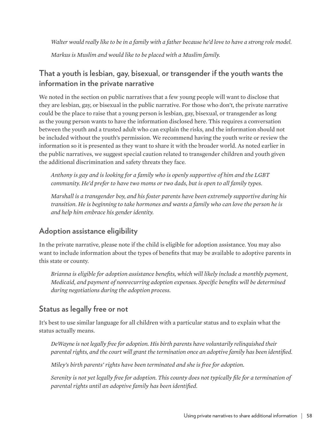*Walter would really like to be in a family with a father because he'd love to have a strong role model. Markus is Muslim and would like to be placed with a Muslim family.*

#### **That a youth is lesbian, gay, bisexual, or transgender if the youth wants the information in the private narrative**

We noted in the section on public narratives that a few young people will want to disclose that they are lesbian, gay, or bisexual in the public narrative. For those who don't, the private narrative could be the place to raise that a young person is lesbian, gay, bisexual, or transgender as long as the young person wants to have the information disclosed here. This requires a conversation between the youth and a trusted adult who can explain the risks, and the information should not be included without the youth's permission. We recommend having the youth write or review the information so it is presented as they want to share it with the broader world. As noted earlier in the public narratives, we suggest special caution related to transgender children and youth given the additional discrimination and safety threats they face.

*Anthony is gay and is looking for a family who is openly supportive of him and the LGBT community. He'd prefer to have two moms or two dads, but is open to all family types.*

*Marshall is a transgender boy, and his foster parents have been extremely supportive during his transition. He is beginning to take hormones and wants a family who can love the person he is and help him embrace his gender identity.* 

#### **Adoption assistance eligibility**

In the private narrative, please note if the child is eligible for adoption assistance. You may also want to include information about the types of benefits that may be available to adoptive parents in this state or county.

*Brianna is eligible for adoption assistance benefits, which will likely include a monthly payment, Medicaid, and payment of nonrecurring adoption expenses. Specific benefits will be determined during negotiations during the adoption process.*

#### **Status as legally free or not**

It's best to use similar language for all children with a particular status and to explain what the status actually means.

*DeWayne is not legally free for adoption. His birth parents have voluntarily relinquished their parental rights, and the court will grant the termination once an adoptive family has been identified.* 

*Miley's birth parents' rights have been terminated and she is free for adoption.*

*Serenity is not yet legally free for adoption. This county does not typically file for a termination of parental rights until an adoptive family has been identified.*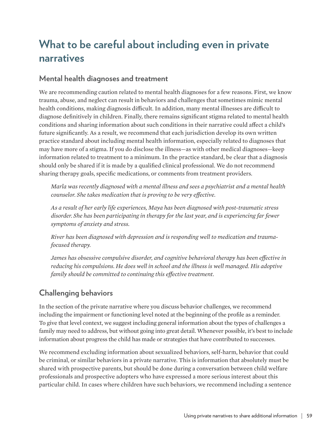## **What to be careful about including even in private narratives**

#### **Mental health diagnoses and treatment**

We are recommending caution related to mental health diagnoses for a few reasons. First, we know trauma, abuse, and neglect can result in behaviors and challenges that sometimes mimic mental health conditions, making diagnosis difficult. In addition, many mental illnesses are difficult to diagnose definitively in children. Finally, there remains significant stigma related to mental health conditions and sharing information about such conditions in their narrative could affect a child's future significantly. As a result, we recommend that each jurisdiction develop its own written practice standard about including mental health information, especially related to diagnoses that may have more of a stigma. If you do disclose the illness—as with other medical diagnoses—keep information related to treatment to a minimum. In the practice standard, be clear that a diagnosis should only be shared if it is made by a qualified clinical professional. We do not recommend sharing therapy goals, specific medications, or comments from treatment providers.

*Marla was recently diagnosed with a mental illness and sees a psychiatrist and a mental health counselor. She takes medication that is proving to be very effective.* 

*As a result of her early life experiences, Maya has been diagnosed with post-traumatic stress disorder. She has been participating in therapy for the last year, and is experiencing far fewer symptoms of anxiety and stress.* 

*River has been diagnosed with depression and is responding well to medication and traumafocused therapy.* 

*James has obsessive compulsive disorder, and cognitive behavioral therapy has been effective in reducing his compulsions. He does well in school and the illness is well managed. His adoptive family should be committed to continuing this effective treatment.*

#### **Challenging behaviors**

In the section of the private narrative where you discuss behavior challenges, we recommend including the impairment or functioning level noted at the beginning of the profile as a reminder. To give that level context, we suggest including general information about the types of challenges a family may need to address, but without going into great detail. Whenever possible, it's best to include information about progress the child has made or strategies that have contributed to successes.

We recommend excluding information about sexualized behaviors, self-harm, behavior that could be criminal, or similar behaviors in a private narrative. This is information that absolutely must be shared with prospective parents, but should be done during a conversation between child welfare professionals and prospective adopters who have expressed a more serious interest about this particular child. In cases where children have such behaviors, we recommend including a sentence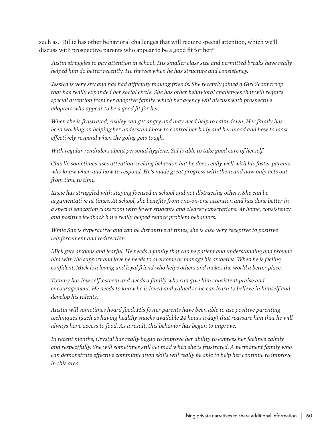such as, "Billie has other behavioral challenges that will require special attention, which we'll discuss with prospective parents who appear to be a good fit for her."

*Justin struggles to pay attention in school. His smaller class size and permitted breaks have really helped him do better recently. He thrives when he has structure and consistency.*

*Jessica is very shy and has had difficulty making friends. She recently joined a Girl Scout troop that has really expanded her social circle. She has other behavioral challenges that will require special attention from her adoptive family, which her agency will discuss with prospective adopters who appear to be a good fit for her.* 

*When she is frustrated, Ashley can get angry and may need help to calm down. Her family has been working on helping her understand how to control her body and her mood and how to most effectively respond when the going gets tough.*

*With regular reminders about personal hygiene, Sal is able to take good care of herself.*

*Charlie sometimes uses attention-seeking behavior, but he does really well with his foster parents who know when and how to respond. He's made great progress with them and now only acts out from time to time.* 

*Kacie has struggled with staying focused in school and not distracting others. She can be argumentative at times. At school, she benefits from one-on-one attention and has done better in a special education classroom with fewer students and clearer expectations. At home, consistency and positive feedback have really helped reduce problem behaviors.*

*While Sue is hyperactive and can be disruptive at times, she is also very receptive to positive reinforcement and redirection.* 

*Mick gets anxious and fearful. He needs a family that can be patient and understanding and provide him with the support and love he needs to overcome or manage his anxieties. When he is feeling confident, Mick is a loving and loyal friend who helps others and makes the world a better place.* 

*Tommy has low self-esteem and needs a family who can give him consistent praise and encouragement. He needs to know he is loved and valued so he can learn to believe in himself and develop his talents.* 

*Austin will sometimes hoard food. His foster parents have been able to use positive parenting techniques (such as having healthy snacks available 24 hours a day) that reassure him that he will always have access to food. As a result, this behavior has begun to improve.* 

*In recent months, Crystal has really begun to improve her ability to express her feelings calmly and respectfully. She will sometimes still get mad when she is frustrated. A permanent family who can demonstrate effective communication skills will really be able to help her continue to improve in this area.*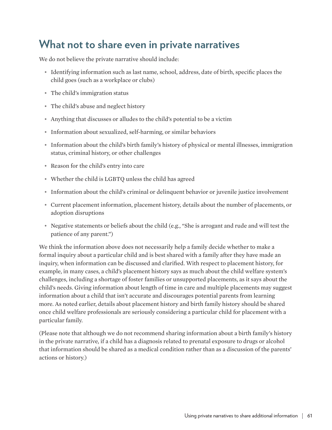### **What not to share even in private narratives**

We do not believe the private narrative should include:

- Identifying information such as last name, school, address, date of birth, specific places the child goes (such as a workplace or clubs)
- The child's immigration status
- The child's abuse and neglect history
- Anything that discusses or alludes to the child's potential to be a victim
- Information about sexualized, self-harming, or similar behaviors
- Information about the child's birth family's history of physical or mental illnesses, immigration status, criminal history, or other challenges
- Reason for the child's entry into care
- Whether the child is LGBTQ unless the child has agreed
- Information about the child's criminal or delinquent behavior or juvenile justice involvement
- Current placement information, placement history, details about the number of placements, or adoption disruptions
- Negative statements or beliefs about the child (e.g., "She is arrogant and rude and will test the patience of any parent.")

We think the information above does not necessarily help a family decide whether to make a formal inquiry about a particular child and is best shared with a family after they have made an inquiry, when information can be discussed and clarified. With respect to placement history, for example, in many cases, a child's placement history says as much about the child welfare system's challenges, including a shortage of foster families or unsupported placements, as it says about the child's needs. Giving information about length of time in care and multiple placements may suggest information about a child that isn't accurate and discourages potential parents from learning more. As noted earlier, details about placement history and birth family history should be shared once child welfare professionals are seriously considering a particular child for placement with a particular family.

(Please note that although we do not recommend sharing information about a birth family's history in the private narrative, if a child has a diagnosis related to prenatal exposure to drugs or alcohol that information should be shared as a medical condition rather than as a discussion of the parents' actions or history.)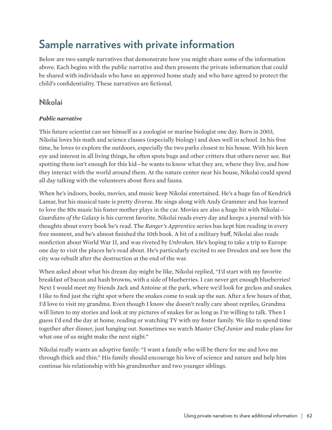## **Sample narratives with private information**

Below are two sample narratives that demonstrate how you might share some of the information above. Each begins with the public narrative and then presents the private information that could be shared with individuals who have an approved home study and who have agreed to protect the child's confidentiality. These narratives are fictional.

#### **Nikolai**

#### *Public narrative*

This future scientist can see himself as a zoologist or marine biologist one day. Born in 2003, Nikolai loves his math and science classes (especially biology) and does well in school. In his free time, he loves to explore the outdoors, especially the two parks closest to his house. With his keen eye and interest in all living things, he often spots bugs and other critters that others never see. But spotting them isn't enough for this kid—he wants to know what they are, where they live, and how they interact with the world around them. At the nature center near his house, Nikolai could spend all day talking with the volunteers about flora and fauna.

When he's indoors, books, movies, and music keep Nikolai entertained. He's a huge fan of Kendrick Lamar, but his musical taste is pretty diverse. He sings along with Andy Grammer and has learned to love the 80s music his foster mother plays in the car. Movies are also a huge hit with Nikolai— *Guardians of the Galaxy* is his current favorite. Nikolai reads every day and keeps a journal with his thoughts about every book he's read. The *Ranger's Apprentice* series has kept him reading in every free moment, and he's almost finished the 10th book. A bit of a military buff, Nikolai also reads nonfiction about World War II, and was riveted by *Unbroken*. He's hoping to take a trip to Europe one day to visit the places he's read about. He's particularly excited to see Dresden and see how the city was rebuilt after the destruction at the end of the war.

When asked about what his dream day might be like, Nikolai replied, "I'd start with my favorite breakfast of bacon and hash browns, with a side of blueberries. I can never get enough blueberries! Next I would meet my friends Jack and Antoine at the park, where we'd look for geckos and snakes. I like to find just the right spot where the snakes come to soak up the sun. After a few hours of that, I'd love to visit my grandma. Even though I know she doesn't really care about reptiles, Grandma will listen to my stories and look at my pictures of snakes for as long as I'm willing to talk. Then I guess I'd end the day at home, reading or watching TV with my foster family. We like to spend time together after dinner, just hanging out. Sometimes we watch *Master Chef Junior* and make plans for what one of us might make the next night."

Nikolai really wants an adoptive family: "I want a family who will be there for me and love me through thick and thin." His family should encourage his love of science and nature and help him continue his relationship with his grandmother and two younger siblings.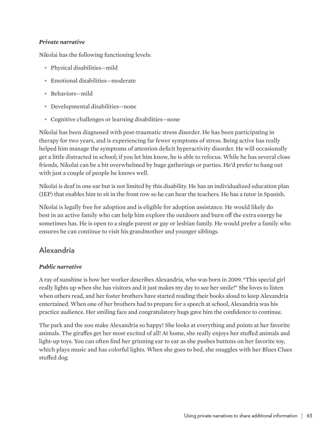#### *Private narrative*

Nikolai has the following functioning levels:

- Physical disabilities—mild
- Emotional disabilities—moderate
- Behaviors—mild
- Developmental disabilities—none
- Cognitive challenges or learning disabilities—none

Nikolai has been diagnosed with post-traumatic stress disorder. He has been participating in therapy for two years, and is experiencing far fewer symptoms of stress. Being active has really helped him manage the symptoms of attention deficit hyperactivity disorder. He will occasionally get a little distracted in school; if you let him know, he is able to refocus. While he has several close friends, Nikolai can be a bit overwhelmed by huge gatherings or parties. He'd prefer to hang out with just a couple of people he knows well.

Nikolai is deaf in one ear but is not limited by this disability. He has an individualized education plan (IEP) that enables him to sit in the front row so he can hear the teachers. He has a tutor in Spanish.

Nikolai is legally free for adoption and is eligible for adoption assistance. He would likely do best in an active family who can help him explore the outdoors and burn off the extra energy he sometimes has. He is open to a single parent or gay or lesbian family. He would prefer a family who ensures he can continue to visit his grandmother and younger siblings.

#### **Alexandria**

#### *Public narrative*

A ray of sunshine is how her worker describes Alexandria, who was born in 2009. "This special girl really lights up when she has visitors and it just makes my day to see her smile!" She loves to listen when others read, and her foster brothers have started reading their books aloud to keep Alexandria entertained. When one of her brothers had to prepare for a speech at school, Alexandria was his practice audience. Her smiling face and congratulatory hugs gave him the confidence to continue.

The park and the zoo make Alexandria so happy! She looks at everything and points at her favorite animals. The giraffes get her most excited of all! At home, she really enjoys her stuffed animals and light-up toys. You can often find her grinning ear to ear as she pushes buttons on her favorite toy, which plays music and has colorful lights. When she goes to bed, she snuggles with her Blues Clues stuffed dog.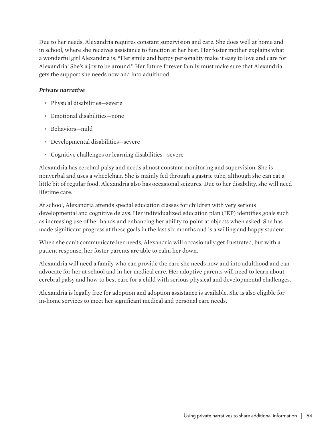Due to her needs, Alexandria requires constant supervision and care. She does well at home and in school, where she receives assistance to function at her best. Her foster mother explains what a wonderful girl Alexandria is: "Her smile and happy personality make it easy to love and care for Alexandria! She's a joy to be around." Her future forever family must make sure that Alexandria gets the support she needs now and into adulthood.

#### *Private narrative*

- Physical disabilities—severe
- Emotional disabilities—none
- Behaviors—mild
- Developmental disabilities—severe
- Cognitive challenges or learning disabilities—severe

Alexandria has cerebral palsy and needs almost constant monitoring and supervision. She is nonverbal and uses a wheelchair. She is mainly fed through a gastric tube, although she can eat a little bit of regular food. Alexandria also has occasional seizures. Due to her disability, she will need lifetime care.

At school, Alexandria attends special education classes for children with very serious developmental and cognitive delays. Her individualized education plan (IEP) identifies goals such as increasing use of her hands and enhancing her ability to point at objects when asked. She has made significant progress at these goals in the last six months and is a willing and happy student.

When she can't communicate her needs, Alexandria will occasionally get frustrated, but with a patient response, her foster parents are able to calm her down.

Alexandria will need a family who can provide the care she needs now and into adulthood and can advocate for her at school and in her medical care. Her adoptive parents will need to learn about cerebral palsy and how to best care for a child with serious physical and developmental challenges.

Alexandria is legally free for adoption and adoption assistance is available. She is also eligible for in-home services to meet her significant medical and personal care needs.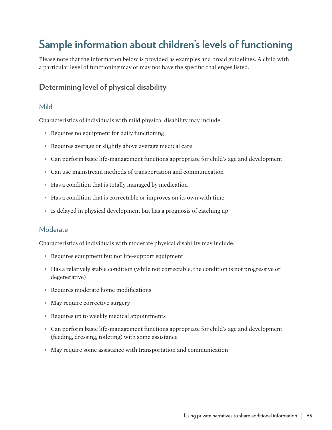## **Sample information about children's levels of functioning**

Please note that the information below is provided as examples and broad guidelines. A child with a particular level of functioning may or may not have the specific challenges listed.

#### **Determining level of physical disability**

#### Mild

Characteristics of individuals with mild physical disability may include:

- Requires no equipment for daily functioning
- Requires average or slightly above average medical care
- Can perform basic life-management functions appropriate for child's age and development
- Can use mainstream methods of transportation and communication
- Has a condition that is totally managed by medication
- Has a condition that is correctable or improves on its own with time
- Is delayed in physical development but has a prognosis of catching up

#### Moderate

Characteristics of individuals with moderate physical disability may include:

- Requires equipment but not life-support equipment
- Has a relatively stable condition (while not correctable, the condition is not progressive or degenerative)
- Requires moderate home modifications
- May require corrective surgery
- Requires up to weekly medical appointments
- Can perform basic life-management functions appropriate for child's age and development (feeding, dressing, toileting) with some assistance
- May require some assistance with transportation and communication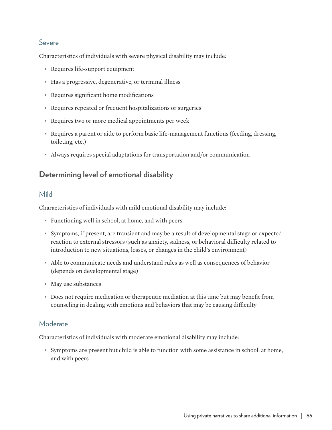#### Severe

Characteristics of individuals with severe physical disability may include:

- Requires life-support equipment
- Has a progressive, degenerative, or terminal illness
- Requires significant home modifications
- Requires repeated or frequent hospitalizations or surgeries
- Requires two or more medical appointments per week
- Requires a parent or aide to perform basic life-management functions (feeding, dressing, toileting, etc.)
- Always requires special adaptations for transportation and/or communication

#### **Determining level of emotional disability**

#### Mild

Characteristics of individuals with mild emotional disability may include:

- Functioning well in school, at home, and with peers
- Symptoms, if present, are transient and may be a result of developmental stage or expected reaction to external stressors (such as anxiety, sadness, or behavioral difficulty related to introduction to new situations, losses, or changes in the child's environment)
- Able to communicate needs and understand rules as well as consequences of behavior (depends on developmental stage)
- May use substances
- Does not require medication or therapeutic mediation at this time but may benefit from counseling in dealing with emotions and behaviors that may be causing difficulty

#### Moderate

Characteristics of individuals with moderate emotional disability may include:

• Symptoms are present but child is able to function with some assistance in school, at home, and with peers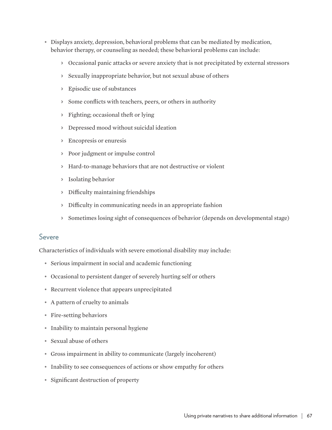- Displays anxiety, depression, behavioral problems that can be mediated by medication, behavior therapy, or counseling as needed; these behavioral problems can include:
	- > Occasional panic attacks or severe anxiety that is not precipitated by external stressors
	- > Sexually inappropriate behavior, but not sexual abuse of others
	- > Episodic use of substances
	- > Some conflicts with teachers, peers, or others in authority
	- > Fighting; occasional theft or lying
	- > Depressed mood without suicidal ideation
	- > Encopresis or enuresis
	- > Poor judgment or impulse control
	- > Hard-to-manage behaviors that are not destructive or violent
	- > Isolating behavior
	- > Difficulty maintaining friendships
	- > Difficulty in communicating needs in an appropriate fashion
	- > Sometimes losing sight of consequences of behavior (depends on developmental stage)

#### Severe

Characteristics of individuals with severe emotional disability may include:

- Serious impairment in social and academic functioning
- Occasional to persistent danger of severely hurting self or others
- Recurrent violence that appears unprecipitated
- A pattern of cruelty to animals
- Fire-setting behaviors
- Inability to maintain personal hygiene
- Sexual abuse of others
- Gross impairment in ability to communicate (largely incoherent)
- Inability to see consequences of actions or show empathy for others
- Significant destruction of property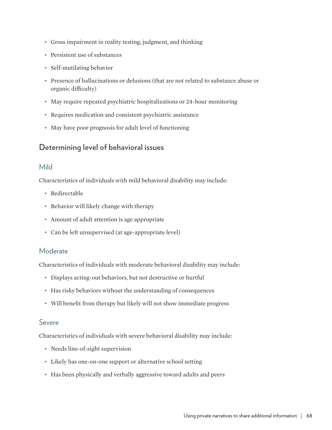- Gross impairment in reality testing, judgment, and thinking
- Persistent use of substances
- Self-mutilating behavior
- Presence of hallucinations or delusions (that are not related to substance abuse or organic difficulty)
- May require repeated psychiatric hospitalizations or 24-hour monitoring
- Requires medication and consistent psychiatric assistance
- May have poor prognosis for adult level of functioning

#### **Determining level of behavioral issues**

#### Mild

Characteristics of individuals with mild behavioral disability may include:

- Redirectable
- Behavior will likely change with therapy
- Amount of adult attention is age appropriate
- Can be left unsupervised (at age-appropriate level)

#### Moderate

Characteristics of individuals with moderate behavioral disability may include:

- Displays acting-out behaviors, but not destructive or hurtful
- Has risky behaviors without the understanding of consequences
- Will benefit from therapy but likely will not show immediate progress

#### Severe

Characteristics of individuals with severe behavioral disability may include:

- Needs line-of-sight supervision
- Likely has one-on-one support or alternative school setting
- Has been physically and verbally aggressive toward adults and peers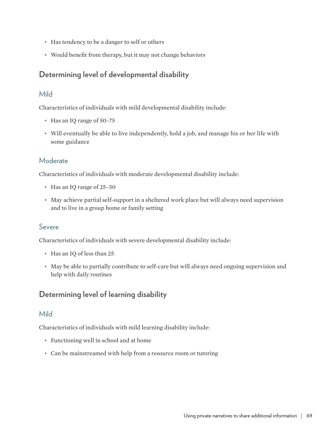- Has tendency to be a danger to self or others
- Would benefit from therapy, but it may not change behaviors

#### **Determining level of developmental disability**

#### Mild

Characteristics of individuals with mild developmental disability include:

- Has an IQ range of 50–75
- Will eventually be able to live independently, hold a job, and manage his or her life with some guidance

#### **Moderate**

Characteristics of individuals with moderate developmental disability include:

- Has an IQ range of 25–50
- May achieve partial self-support in a sheltered work place but will always need supervision and to live in a group home or family setting

#### Severe

Characteristics of individuals with severe developmental disability include:

- Has an IQ of less than 25
- May be able to partially contribute to self-care but will always need ongoing supervision and help with daily routines

#### **Determining level of learning disability**

#### Mild

Characteristics of individuals with mild learning disability include:

- Functioning well in school and at home
- Can be mainstreamed with help from a resource room or tutoring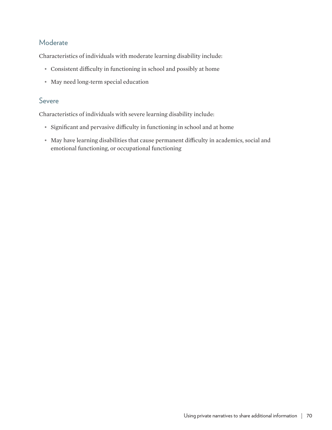#### Moderate

Characteristics of individuals with moderate learning disability include:

- Consistent difficulty in functioning in school and possibly at home
- May need long-term special education

#### Severe

Characteristics of individuals with severe learning disability include:

- Significant and pervasive difficulty in functioning in school and at home
- May have learning disabilities that cause permanent difficulty in academics, social and emotional functioning, or occupational functioning